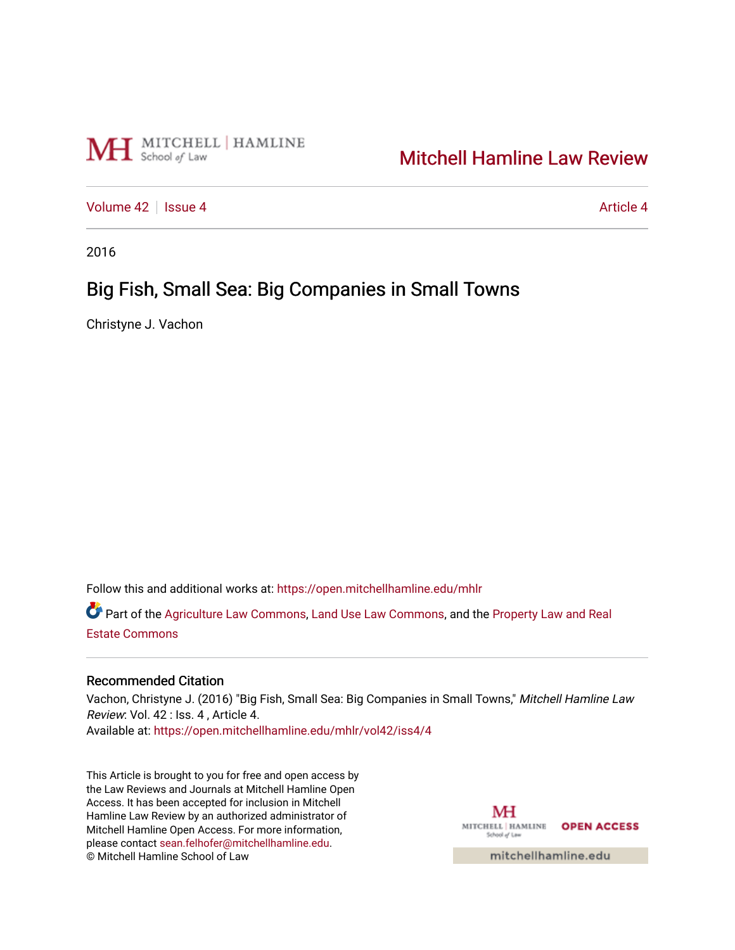

# [Mitchell Hamline Law Review](https://open.mitchellhamline.edu/mhlr)

[Volume 42](https://open.mitchellhamline.edu/mhlr/vol42) | [Issue 4](https://open.mitchellhamline.edu/mhlr/vol42/iss4) [Article 4](https://open.mitchellhamline.edu/mhlr/vol42/iss4/4) Article 4 Article 4 Article 4 Article 4 Article 4

2016

# Big Fish, Small Sea: Big Companies in Small Towns

Christyne J. Vachon

Follow this and additional works at: [https://open.mitchellhamline.edu/mhlr](https://open.mitchellhamline.edu/mhlr?utm_source=open.mitchellhamline.edu%2Fmhlr%2Fvol42%2Fiss4%2F4&utm_medium=PDF&utm_campaign=PDFCoverPages) 

Part of the [Agriculture Law Commons](http://network.bepress.com/hgg/discipline/581?utm_source=open.mitchellhamline.edu%2Fmhlr%2Fvol42%2Fiss4%2F4&utm_medium=PDF&utm_campaign=PDFCoverPages), [Land Use Law Commons](http://network.bepress.com/hgg/discipline/852?utm_source=open.mitchellhamline.edu%2Fmhlr%2Fvol42%2Fiss4%2F4&utm_medium=PDF&utm_campaign=PDFCoverPages), and the Property Law and Real [Estate Commons](http://network.bepress.com/hgg/discipline/897?utm_source=open.mitchellhamline.edu%2Fmhlr%2Fvol42%2Fiss4%2F4&utm_medium=PDF&utm_campaign=PDFCoverPages) 

## Recommended Citation

Vachon, Christyne J. (2016) "Big Fish, Small Sea: Big Companies in Small Towns," Mitchell Hamline Law Review: Vol. 42 : Iss. 4 , Article 4. Available at: [https://open.mitchellhamline.edu/mhlr/vol42/iss4/4](https://open.mitchellhamline.edu/mhlr/vol42/iss4/4?utm_source=open.mitchellhamline.edu%2Fmhlr%2Fvol42%2Fiss4%2F4&utm_medium=PDF&utm_campaign=PDFCoverPages) 

This Article is brought to you for free and open access by the Law Reviews and Journals at Mitchell Hamline Open Access. It has been accepted for inclusion in Mitchell Hamline Law Review by an authorized administrator of Mitchell Hamline Open Access. For more information, please contact [sean.felhofer@mitchellhamline.edu.](mailto:sean.felhofer@mitchellhamline.edu) © Mitchell Hamline School of Law

MH MITCHELL | HAMLINE OPEN ACCESS School of La

mitchellhamline.edu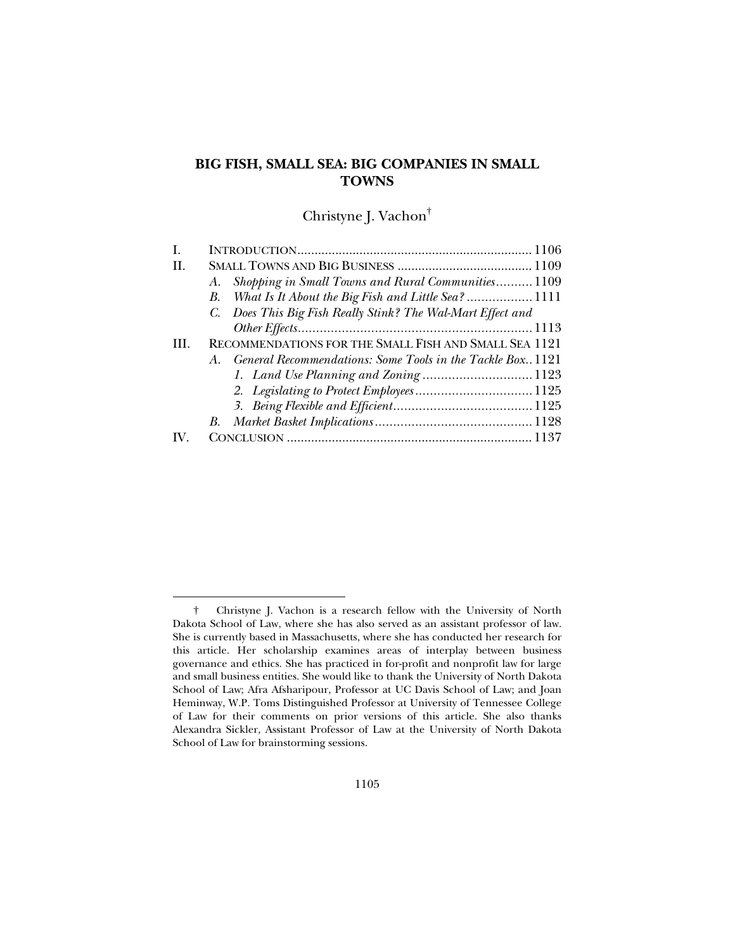## **BIG FISH, SMALL SEA: BIG COMPANIES IN SMALL TOWNS**

Christyne J. Vachon†

| Shopping in Small Towns and Rural Communities1109<br>A.        |  |
|----------------------------------------------------------------|--|
| B. What Is It About the Big Fish and Little Sea? 1111          |  |
| C. Does This Big Fish Really Stink? The Wal-Mart Effect and    |  |
|                                                                |  |
| RECOMMENDATIONS FOR THE SMALL FISH AND SMALL SEA 1121          |  |
| A. General Recommendations: Some Tools in the Tackle Box. 1121 |  |
|                                                                |  |
|                                                                |  |
|                                                                |  |
|                                                                |  |
|                                                                |  |
|                                                                |  |

 <sup>†</sup> Christyne J. Vachon is a research fellow with the University of North Dakota School of Law, where she has also served as an assistant professor of law. She is currently based in Massachusetts, where she has conducted her research for this article. Her scholarship examines areas of interplay between business governance and ethics. She has practiced in for-profit and nonprofit law for large and small business entities. She would like to thank the University of North Dakota School of Law; Afra Afsharipour, Professor at UC Davis School of Law; and Joan Heminway, W.P. Toms Distinguished Professor at University of Tennessee College of Law for their comments on prior versions of this article. She also thanks Alexandra Sickler, Assistant Professor of Law at the University of North Dakota School of Law for brainstorming sessions.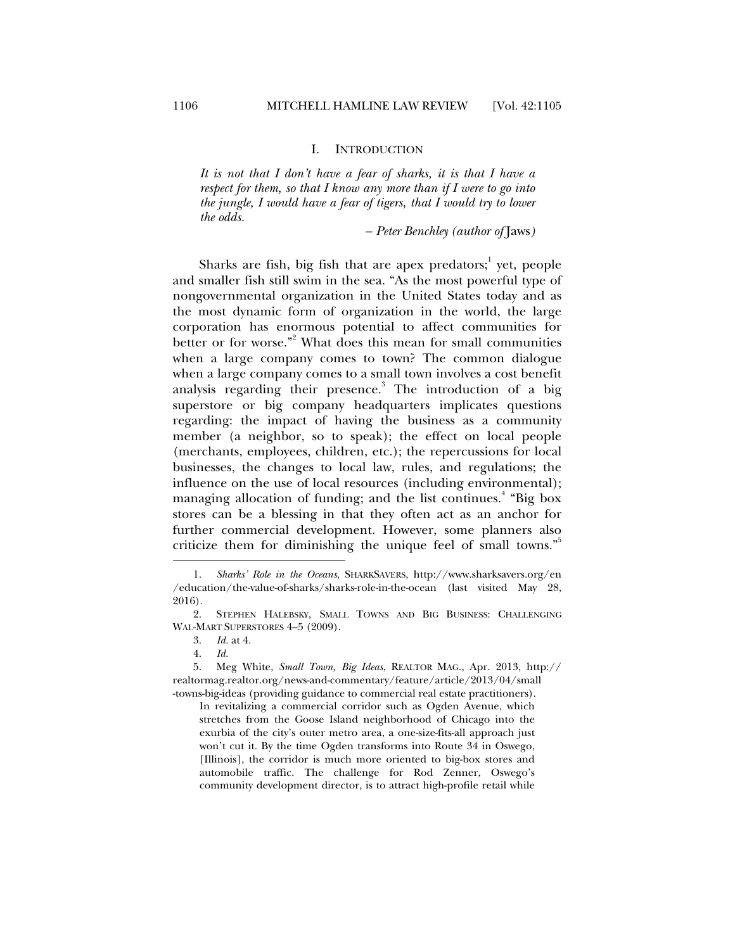#### I. INTRODUCTION

*It is not that I don't have a fear of sharks, it is that I have a respect for them, so that I know any more than if I were to go into the jungle, I would have a fear of tigers, that I would try to lower the odds.* 

*– Peter Benchley (author of* Jaws*)* 

Sharks are fish, big fish that are apex predators;<sup>1</sup> yet, people and smaller fish still swim in the sea. "As the most powerful type of nongovernmental organization in the United States today and as the most dynamic form of organization in the world, the large corporation has enormous potential to affect communities for better or for worse."<sup>2</sup> What does this mean for small communities when a large company comes to town? The common dialogue when a large company comes to a small town involves a cost benefit analysis regarding their presence.<sup>3</sup> The introduction of a big superstore or big company headquarters implicates questions regarding: the impact of having the business as a community member (a neighbor, so to speak); the effect on local people (merchants, employees, children, etc.); the repercussions for local businesses, the changes to local law, rules, and regulations; the influence on the use of local resources (including environmental); managing allocation of funding; and the list continues.<sup>4</sup> "Big box stores can be a blessing in that they often act as an anchor for further commercial development. However, some planners also criticize them for diminishing the unique feel of small towns."<sup>5</sup>

 <sup>1.</sup> *Sharks' Role in the Oceans*, SHARKSAVERS, http://www.sharksavers.org/en /education/the-value-of-sharks/sharks-role-in-the-ocean (last visited May 28, 2016).

 <sup>2.</sup> STEPHEN HALEBSKY, SMALL TOWNS AND BIG BUSINESS: CHALLENGING WAL-MART SUPERSTORES 4–5 (2009).

 <sup>3.</sup> *Id.* at 4.

 <sup>4.</sup> *Id.*

 <sup>5.</sup> Meg White, *Small Town, Big Ideas*, REALTOR MAG., Apr. 2013, http:// realtormag.realtor.org/news-and-commentary/feature/article/2013/04/small -towns-big-ideas (providing guidance to commercial real estate practitioners).

In revitalizing a commercial corridor such as Ogden Avenue, which stretches from the Goose Island neighborhood of Chicago into the exurbia of the city's outer metro area, a one-size-fits-all approach just won't cut it. By the time Ogden transforms into Route 34 in Oswego, [Illinois], the corridor is much more oriented to big-box stores and automobile traffic. The challenge for Rod Zenner, Oswego's community development director, is to attract high-profile retail while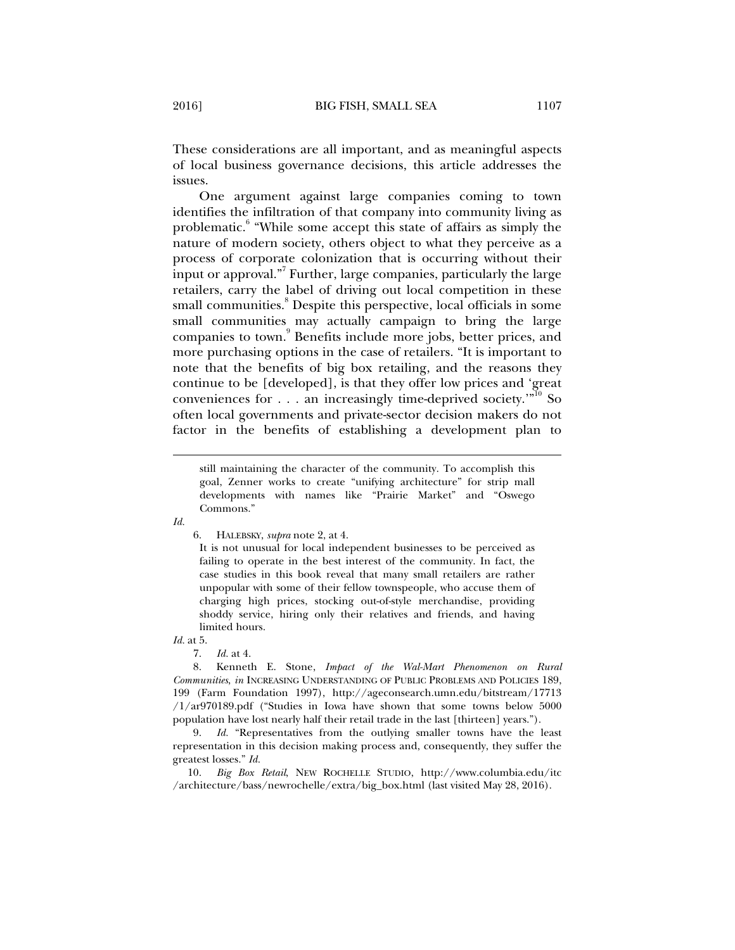These considerations are all important, and as meaningful aspects of local business governance decisions, this article addresses the issues.

One argument against large companies coming to town identifies the infiltration of that company into community living as problematic.<sup>6</sup> "While some accept this state of affairs as simply the nature of modern society, others object to what they perceive as a process of corporate colonization that is occurring without their input or approval."<sup>7</sup> Further, large companies, particularly the large retailers, carry the label of driving out local competition in these small communities.<sup>8</sup> Despite this perspective, local officials in some small communities may actually campaign to bring the large companies to town.<sup>9</sup> Benefits include more jobs, better prices, and more purchasing options in the case of retailers. "It is important to note that the benefits of big box retailing, and the reasons they continue to be [developed], is that they offer low prices and 'great conveniences for  $\dots$  an increasingly time-deprived society.'"<sup>10</sup> So often local governments and private-sector decision makers do not factor in the benefits of establishing a development plan to

*Id.* 

j

6. HALEBSKY, *supra* note 2, at 4.

It is not unusual for local independent businesses to be perceived as failing to operate in the best interest of the community. In fact, the case studies in this book reveal that many small retailers are rather unpopular with some of their fellow townspeople, who accuse them of charging high prices, stocking out-of-style merchandise, providing shoddy service, hiring only their relatives and friends, and having limited hours.

*Id.* at 5.

7. *Id.* at 4.

 8. Kenneth E. Stone, *Impact of the Wal-Mart Phenomenon on Rural Communities*, *in* INCREASING UNDERSTANDING OF PUBLIC PROBLEMS AND POLICIES 189, 199 (Farm Foundation 1997), http://ageconsearch.umn.edu/bitstream/17713 /1/ar970189.pdf ("Studies in Iowa have shown that some towns below 5000 population have lost nearly half their retail trade in the last [thirteen] years.").

 9. *Id.* "Representatives from the outlying smaller towns have the least representation in this decision making process and, consequently, they suffer the greatest losses." *Id.*

 10. *Big Box Retail*, NEW ROCHELLE STUDIO, http://www.columbia.edu/itc /architecture/bass/newrochelle/extra/big\_box.html (last visited May 28, 2016).

still maintaining the character of the community. To accomplish this goal, Zenner works to create "unifying architecture" for strip mall developments with names like "Prairie Market" and "Oswego Commons."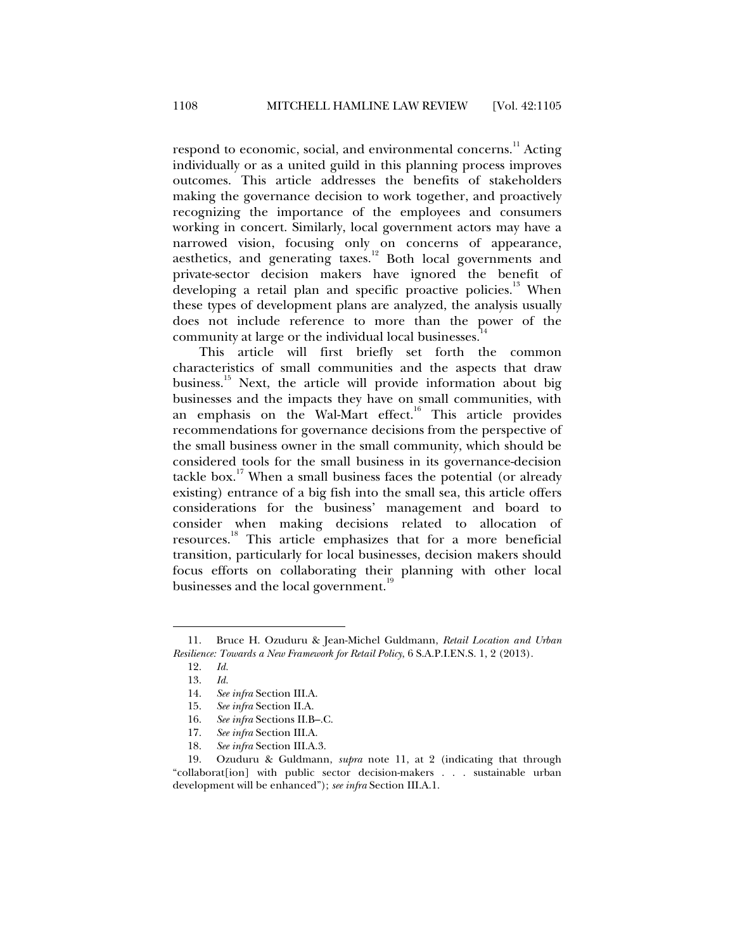respond to economic, social, and environmental concerns.<sup>11</sup> Acting individually or as a united guild in this planning process improves outcomes. This article addresses the benefits of stakeholders making the governance decision to work together, and proactively recognizing the importance of the employees and consumers working in concert. Similarly, local government actors may have a narrowed vision, focusing only on concerns of appearance, aesthetics, and generating taxes.<sup>12</sup> Both local governments and private-sector decision makers have ignored the benefit of developing a retail plan and specific proactive policies.<sup>13</sup> When these types of development plans are analyzed, the analysis usually does not include reference to more than the power of the community at large or the individual local businesses.<sup>1</sup>

This article will first briefly set forth the common characteristics of small communities and the aspects that draw business.<sup>15</sup> Next, the article will provide information about big businesses and the impacts they have on small communities, with an emphasis on the Wal-Mart effect.<sup>16</sup> This article provides recommendations for governance decisions from the perspective of the small business owner in the small community, which should be considered tools for the small business in its governance-decision tackle box.<sup>17</sup> When a small business faces the potential (or already existing) entrance of a big fish into the small sea, this article offers considerations for the business' management and board to consider when making decisions related to allocation of resources.18 This article emphasizes that for a more beneficial transition, particularly for local businesses, decision makers should focus efforts on collaborating their planning with other local businesses and the local government.<sup>19</sup>

 <sup>11.</sup> Bruce H. Ozuduru & Jean-Michel Guldmann, *Retail Location and Urban Resilience: Towards a New Framework for Retail Policy*, 6 S.A.P.I.EN.S. 1, 2 (2013).

 <sup>12.</sup> *Id.*

 <sup>13.</sup> *Id.*

 <sup>14.</sup> *See infra* Section III.A.

 <sup>15.</sup> *See infra* Section II.A.

 <sup>16.</sup> *See infra* Sections II.B–.C.

 <sup>17.</sup> *See infra* Section III.A.

 <sup>18.</sup> *See infra* Section III.A.3.

 <sup>19.</sup> Ozuduru & Guldmann, *supra* note 11, at 2 (indicating that through "collaborat[ion] with public sector decision-makers . . . sustainable urban development will be enhanced"); *see infra* Section III.A.1.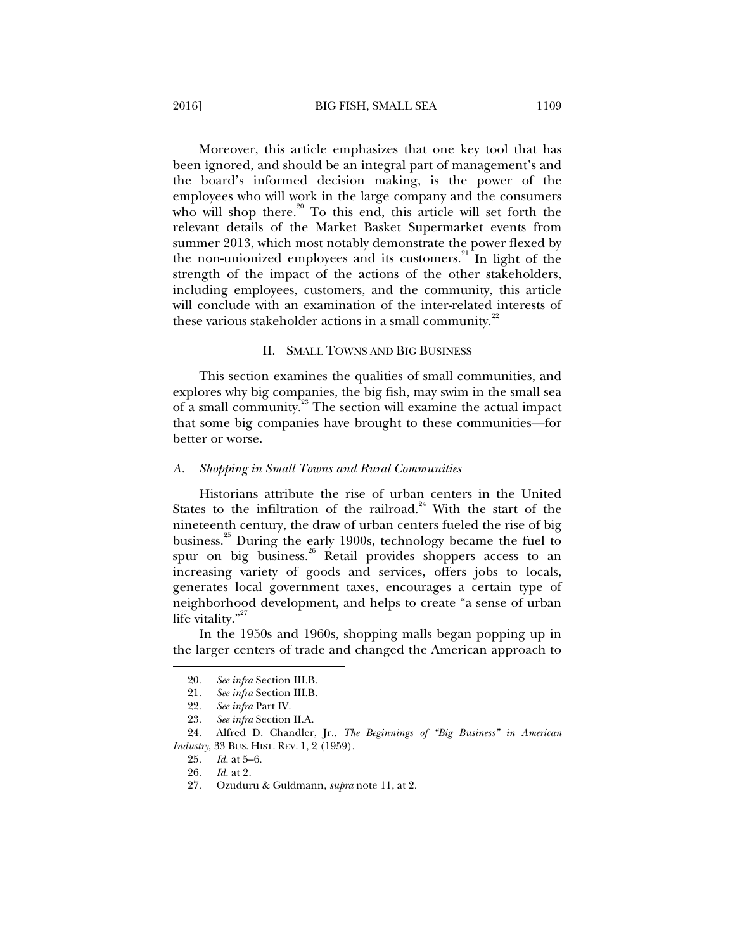2016] BIG FISH, SMALL SEA 1109

Moreover, this article emphasizes that one key tool that has been ignored, and should be an integral part of management's and the board's informed decision making, is the power of the employees who will work in the large company and the consumers who will shop there.<sup>20</sup> To this end, this article will set forth the relevant details of the Market Basket Supermarket events from summer 2013, which most notably demonstrate the power flexed by the non-unionized employees and its customers. $21$  In light of the strength of the impact of the actions of the other stakeholders, including employees, customers, and the community, this article will conclude with an examination of the inter-related interests of these various stakeholder actions in a small community.<sup>22</sup>

### II. SMALL TOWNS AND BIG BUSINESS

This section examines the qualities of small communities, and explores why big companies, the big fish, may swim in the small sea of a small community.<sup>23</sup> The section will examine the actual impact that some big companies have brought to these communities—for better or worse.

### *A. Shopping in Small Towns and Rural Communities*

Historians attribute the rise of urban centers in the United States to the infiltration of the railroad.<sup>24</sup> With the start of the nineteenth century, the draw of urban centers fueled the rise of big business.<sup>25</sup> During the early 1900s, technology became the fuel to spur on big business.<sup>26</sup> Retail provides shoppers access to an increasing variety of goods and services, offers jobs to locals, generates local government taxes, encourages a certain type of neighborhood development, and helps to create "a sense of urban life vitality."<sup>27</sup>

In the 1950s and 1960s, shopping malls began popping up in the larger centers of trade and changed the American approach to

 <sup>20.</sup> *See infra* Section III.B.

 <sup>21.</sup> *See infra* Section III.B.

 <sup>22.</sup> *See infra* Part IV.

 <sup>23.</sup> *See infra* Section II.A.

 <sup>24.</sup> Alfred D. Chandler, Jr., *The Beginnings of "Big Business" in American Industry*, 33 BUS. HIST. REV. 1, 2 (1959).

 <sup>25.</sup> *Id.* at 5–6.

*Id.* at 2.

 <sup>27.</sup> Ozuduru & Guldmann, *supra* note 11, at 2.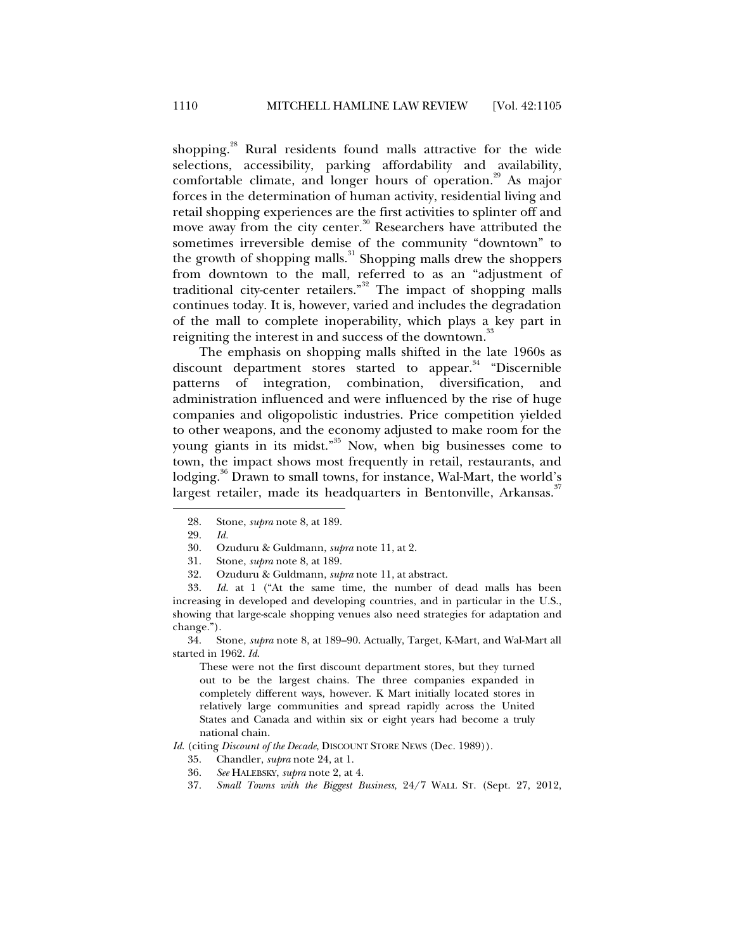shopping.<sup>28</sup> Rural residents found malls attractive for the wide selections, accessibility, parking affordability and availability, comfortable climate, and longer hours of operation.<sup>29</sup> As major forces in the determination of human activity, residential living and retail shopping experiences are the first activities to splinter off and move away from the city center.<sup>30</sup> Researchers have attributed the sometimes irreversible demise of the community "downtown" to the growth of shopping malls. $31$  Shopping malls drew the shoppers from downtown to the mall, referred to as an "adjustment of traditional city-center retailers."<sup>32</sup> The impact of shopping malls continues today. It is, however, varied and includes the degradation of the mall to complete inoperability, which plays a key part in reigniting the interest in and success of the downtown.<sup>33</sup>

The emphasis on shopping malls shifted in the late 1960s as discount department stores started to appear.<sup>34</sup> "Discernible patterns of integration, combination, diversification, and administration influenced and were influenced by the rise of huge companies and oligopolistic industries. Price competition yielded to other weapons, and the economy adjusted to make room for the young giants in its midst."<sup>35</sup> Now, when big businesses come to town, the impact shows most frequently in retail, restaurants, and lodging.<sup>36</sup> Drawn to small towns, for instance, Wal-Mart, the world's largest retailer, made its headquarters in Bentonville, Arkansas.<sup>37</sup>

j

32. Ozuduru & Guldmann, *supra* note 11, at abstract.

 33. *Id.* at 1 ("At the same time, the number of dead malls has been increasing in developed and developing countries, and in particular in the U.S., showing that large-scale shopping venues also need strategies for adaptation and change.").

 34. Stone, *supra* note 8, at 189–90. Actually, Target, K-Mart, and Wal-Mart all started in 1962. *Id*.

These were not the first discount department stores, but they turned out to be the largest chains. The three companies expanded in completely different ways, however. K Mart initially located stores in relatively large communities and spread rapidly across the United States and Canada and within six or eight years had become a truly national chain.

*Id*. (citing *Discount of the Decade*, DISCOUNT STORE NEWS (Dec. 1989)).

- 35. Chandler, *supra* note 24, at 1.
- 36. *See* HALEBSKY, *supra* note 2, at 4.
- 37. *Small Towns with the Biggest Business*, 24/7 WALL ST. (Sept. 27, 2012,

 <sup>28.</sup> Stone, *supra* note 8, at 189.

 <sup>29.</sup> *Id.*

 <sup>30.</sup> Ozuduru & Guldmann, *supra* note 11, at 2.

 <sup>31.</sup> Stone, *supra* note 8, at 189.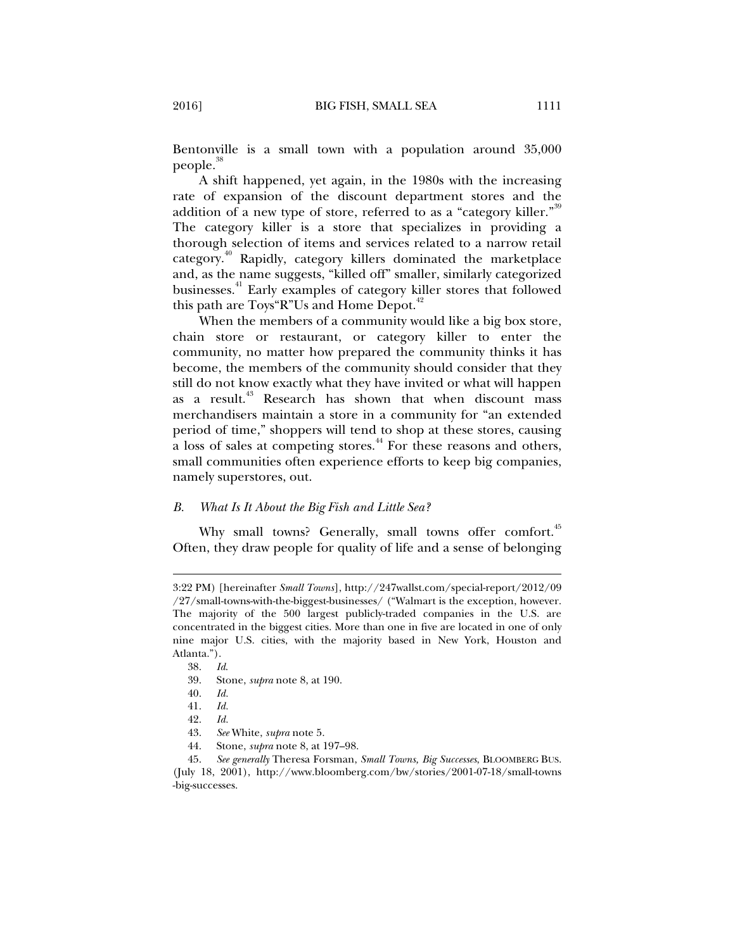Bentonville is a small town with a population around 35,000 people.<sup>38</sup>

A shift happened, yet again, in the 1980s with the increasing rate of expansion of the discount department stores and the addition of a new type of store, referred to as a "category killer."<sup>39</sup> The category killer is a store that specializes in providing a thorough selection of items and services related to a narrow retail category.40 Rapidly, category killers dominated the marketplace and, as the name suggests, "killed off" smaller, similarly categorized businesses.<sup>41</sup> Early examples of category killer stores that followed this path are Toys"R"Us and Home Depot. $42$ 

When the members of a community would like a big box store, chain store or restaurant, or category killer to enter the community, no matter how prepared the community thinks it has become, the members of the community should consider that they still do not know exactly what they have invited or what will happen as a result.<sup>43</sup> Research has shown that when discount mass merchandisers maintain a store in a community for "an extended period of time," shoppers will tend to shop at these stores, causing a loss of sales at competing stores.<sup>44</sup> For these reasons and others, small communities often experience efforts to keep big companies, namely superstores, out.

### *B. What Is It About the Big Fish and Little Sea?*

Why small towns? Generally, small towns offer comfort.<sup>45</sup> Often, they draw people for quality of life and a sense of belonging

<sup>3:22</sup> PM) [hereinafter *Small Towns*], http://247wallst.com/special-report/2012/09 /27/small-towns-with-the-biggest-businesses/ ("Walmart is the exception, however. The majority of the 500 largest publicly-traded companies in the U.S. are concentrated in the biggest cities. More than one in five are located in one of only nine major U.S. cities, with the majority based in New York, Houston and Atlanta.").

 <sup>38.</sup> *Id*.

 <sup>39.</sup> Stone, *supra* note 8, at 190.

 <sup>40.</sup> *Id.*

 <sup>41.</sup> *Id.*

 <sup>42.</sup> *Id.* 

 <sup>43.</sup> *See* White, *supra* note 5.

 <sup>44.</sup> Stone, *supra* note 8, at 197–98.

 <sup>45.</sup> *See generally* Theresa Forsman, *Small Towns, Big Successes*, BLOOMBERG BUS. (July 18, 2001), http://www.bloomberg.com/bw/stories/2001-07-18/small-towns -big-successes.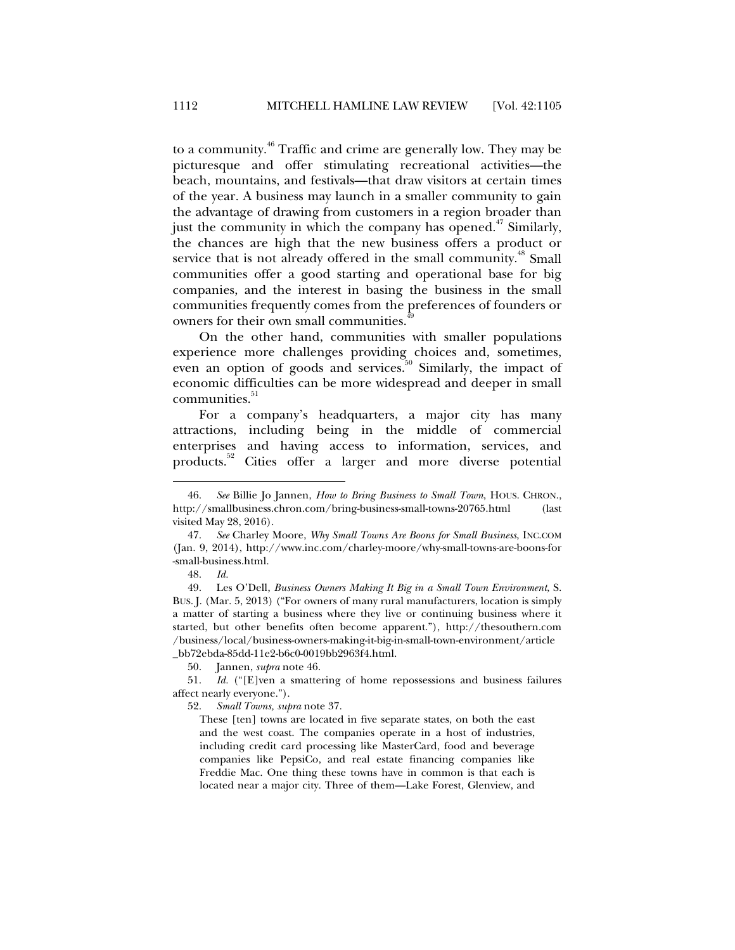to a community.46 Traffic and crime are generally low. They may be picturesque and offer stimulating recreational activities—the beach, mountains, and festivals—that draw visitors at certain times of the year. A business may launch in a smaller community to gain the advantage of drawing from customers in a region broader than just the community in which the company has opened.<sup> $47$ </sup> Similarly, the chances are high that the new business offers a product or service that is not already offered in the small community.<sup>48</sup> Small communities offer a good starting and operational base for big companies, and the interest in basing the business in the small communities frequently comes from the preferences of founders or owners for their own small communities.

On the other hand, communities with smaller populations experience more challenges providing choices and, sometimes, even an option of goods and services.<sup>50</sup> Similarly, the impact of economic difficulties can be more widespread and deeper in small communities.<sup>51</sup>

For a company's headquarters, a major city has many attractions, including being in the middle of commercial enterprises and having access to information, services, and products.<sup>52</sup> Cities offer a larger and more diverse potential

48. *Id.*

j

50. Jannen, *supra* note 46.

52. *Small Towns, supra* note 37.

These [ten] towns are located in five separate states, on both the east and the west coast. The companies operate in a host of industries, including credit card processing like MasterCard, food and beverage companies like PepsiCo, and real estate financing companies like Freddie Mac. One thing these towns have in common is that each is located near a major city. Three of them—Lake Forest, Glenview, and

 <sup>46.</sup> *See* Billie Jo Jannen, *How to Bring Business to Small Town*, HOUS. CHRON., http://smallbusiness.chron.com/bring-business-small-towns-20765.html (last visited May 28, 2016).

 <sup>47.</sup> *See* Charley Moore, *Why Small Towns Are Boons for Small Business*, INC.COM (Jan. 9, 2014), http://www.inc.com/charley-moore/why-small-towns-are-boons-for -small-business.html.

 <sup>49.</sup> Les O'Dell, *Business Owners Making It Big in a Small Town Environment*, S. BUS. J. (Mar. 5, 2013) ("For owners of many rural manufacturers, location is simply a matter of starting a business where they live or continuing business where it started, but other benefits often become apparent."), http://thesouthern.com /business/local/business-owners-making-it-big-in-small-town-environment/article \_bb72ebda-85dd-11e2-b6c0-0019bb2963f4.html.

 <sup>51.</sup> *Id.* ("[E]ven a smattering of home repossessions and business failures affect nearly everyone.").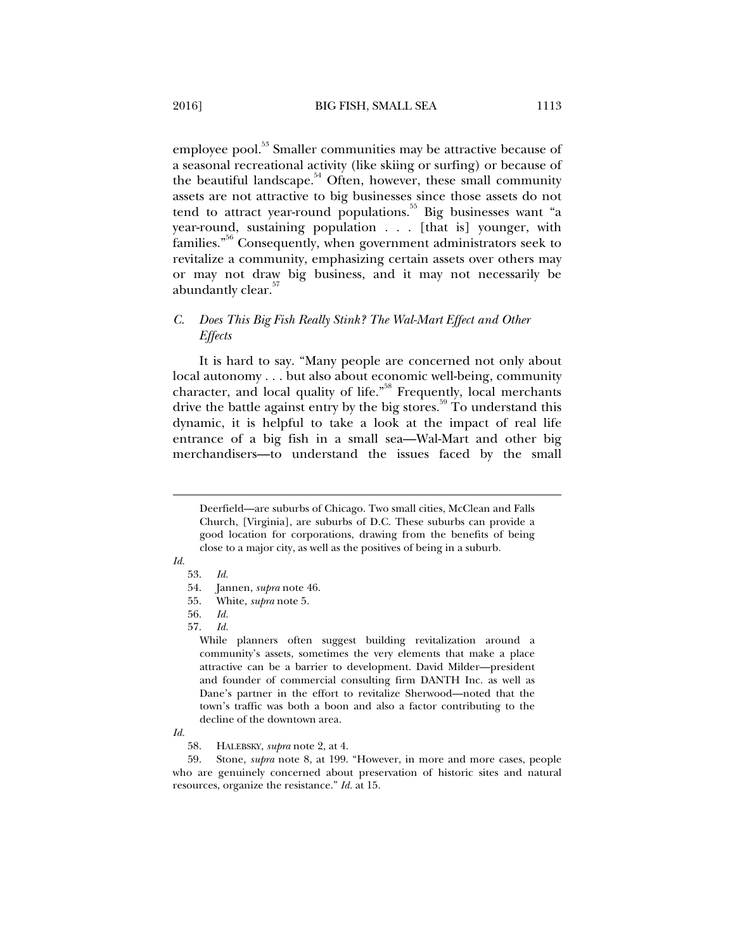employee pool.<sup>53</sup> Smaller communities may be attractive because of a seasonal recreational activity (like skiing or surfing) or because of the beautiful landscape.<sup>54</sup> Often, however, these small community assets are not attractive to big businesses since those assets do not tend to attract year-round populations.<sup>55</sup> Big businesses want "a year-round, sustaining population . . . [that is] younger, with families."<sup>56</sup> Consequently, when government administrators seek to revitalize a community, emphasizing certain assets over others may or may not draw big business, and it may not necessarily be abundantly clear.<sup>57</sup>

## *C. Does This Big Fish Really Stink? The Wal-Mart Effect and Other Effects*

It is hard to say. "Many people are concerned not only about local autonomy . . . but also about economic well-being, community character, and local quality of life."<sup>58</sup> Frequently, local merchants drive the battle against entry by the big stores.<sup>59</sup> To understand this dynamic, it is helpful to take a look at the impact of real life entrance of a big fish in a small sea—Wal-Mart and other big merchandisers—to understand the issues faced by the small

Deerfield—are suburbs of Chicago. Two small cities, McClean and Falls Church, [Virginia], are suburbs of D.C. These suburbs can provide a good location for corporations, drawing from the benefits of being close to a major city, as well as the positives of being in a suburb.

*Id.* 

j

While planners often suggest building revitalization around a community's assets, sometimes the very elements that make a place attractive can be a barrier to development. David Milder—president and founder of commercial consulting firm DANTH Inc. as well as Dane's partner in the effort to revitalize Sherwood—noted that the town's traffic was both a boon and also a factor contributing to the decline of the downtown area.

*Id.*

58. HALEBSKY, *supra* note 2, at 4.

 59. Stone, *supra* note 8, at 199. "However, in more and more cases, people who are genuinely concerned about preservation of historic sites and natural resources, organize the resistance." *Id.* at 15.

 <sup>53.</sup> *Id.* 54. Jannen, *supra* note 46.

 <sup>55.</sup> White, *supra* note 5.

 <sup>56.</sup> *Id.*

 <sup>57.</sup> *Id.*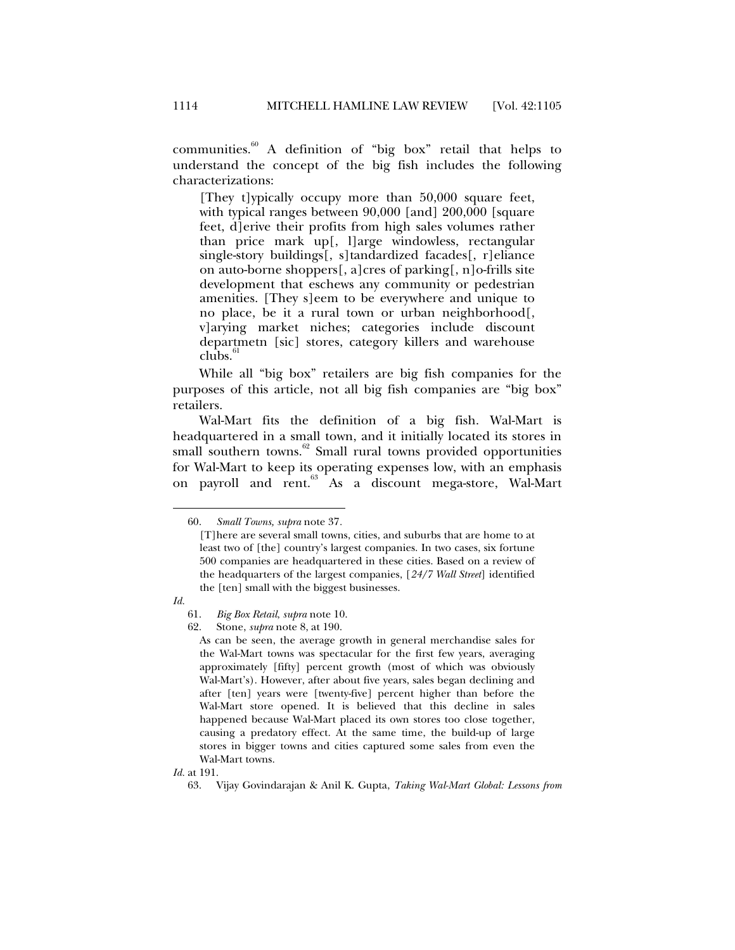communities.60 A definition of "big box" retail that helps to understand the concept of the big fish includes the following characterizations:

[They t]ypically occupy more than 50,000 square feet, with typical ranges between 90,000 [and] 200,000 [square feet, d]erive their profits from high sales volumes rather than price mark up[, l]arge windowless, rectangular single-story buildings[, s]tandardized facades[, r]eliance on auto-borne shoppers[, a]cres of parking[, n]o-frills site development that eschews any community or pedestrian amenities. [They s]eem to be everywhere and unique to no place, be it a rural town or urban neighborhood[, v]arying market niches; categories include discount departmetn [sic] stores, category killers and warehouse  $\overline{\text{clubs}}$ .

While all "big box" retailers are big fish companies for the purposes of this article, not all big fish companies are "big box" retailers.

Wal-Mart fits the definition of a big fish. Wal-Mart is headquartered in a small town, and it initially located its stores in small southern towns.<sup>62</sup> Small rural towns provided opportunities for Wal-Mart to keep its operating expenses low, with an emphasis on payroll and rent.<sup>63</sup> As a discount mega-store, Wal-Mart

*Id.* 

 <sup>60.</sup> *Small Towns, supra* note 37*.* 

<sup>[</sup>T]here are several small towns, cities, and suburbs that are home to at least two of [the] country's largest companies. In two cases, six fortune 500 companies are headquartered in these cities. Based on a review of the headquarters of the largest companies, [*24/7 Wall Street*] identified the [ten] small with the biggest businesses.

 <sup>61.</sup> *Big Box Retail*, *supra* note 10.

 <sup>62.</sup> Stone, *supra* note 8, at 190.

As can be seen, the average growth in general merchandise sales for the Wal-Mart towns was spectacular for the first few years, averaging approximately [fifty] percent growth (most of which was obviously Wal-Mart's). However, after about five years, sales began declining and after [ten] years were [twenty-five] percent higher than before the Wal-Mart store opened. It is believed that this decline in sales happened because Wal-Mart placed its own stores too close together, causing a predatory effect. At the same time, the build-up of large stores in bigger towns and cities captured some sales from even the Wal-Mart towns.

*Id.* at 191.

 <sup>63.</sup> Vijay Govindarajan & Anil K. Gupta, *Taking Wal-Mart Global: Lessons from*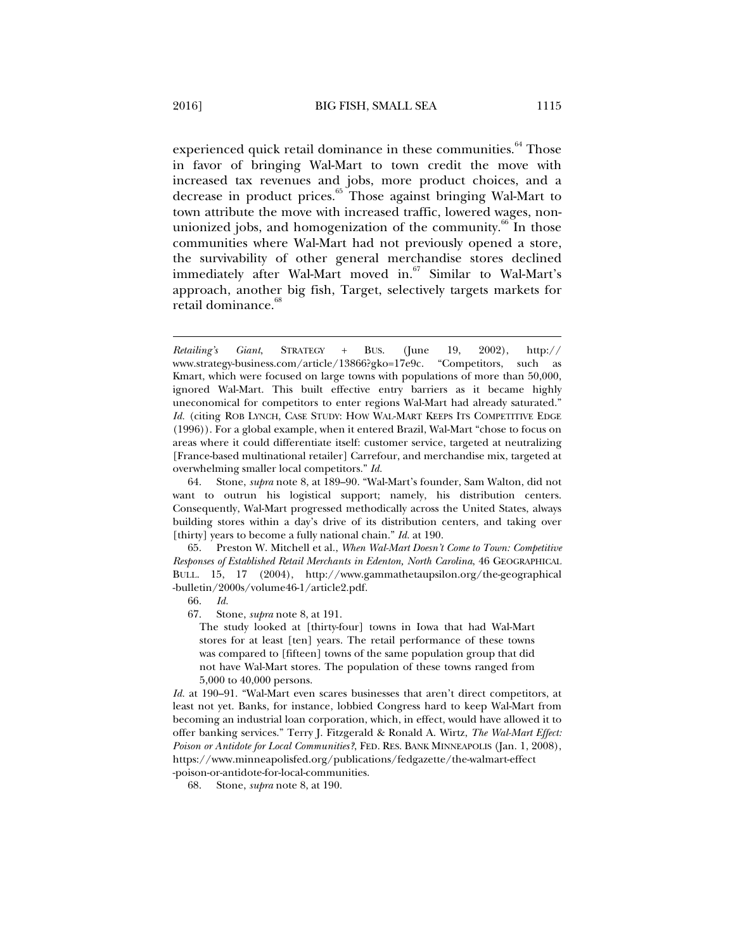experienced quick retail dominance in these communities.<sup>64</sup> Those in favor of bringing Wal-Mart to town credit the move with increased tax revenues and jobs, more product choices, and a decrease in product prices.<sup>65</sup> Those against bringing Wal-Mart to town attribute the move with increased traffic, lowered wages, nonunionized jobs, and homogenization of the community.<sup>66</sup> In those communities where Wal-Mart had not previously opened a store, the survivability of other general merchandise stores declined immediately after Wal-Mart moved in. $67$  Similar to Wal-Mart's approach, another big fish, Target, selectively targets markets for retail dominance.<sup>68</sup>

 65. Preston W. Mitchell et al., *When Wal-Mart Doesn't Come to Town: Competitive Responses of Established Retail Merchants in Edenton, North Carolina*, 46 GEOGRAPHICAL BULL. 15, 17 (2004), http://www.gammathetaupsilon.org/the-geographical -bulletin/2000s/volume46-1/article2.pdf.

The study looked at [thirty-four] towns in Iowa that had Wal-Mart stores for at least [ten] years. The retail performance of these towns was compared to [fifteen] towns of the same population group that did not have Wal-Mart stores. The population of these towns ranged from 5,000 to 40,000 persons.

*Id.* at 190–91. "Wal-Mart even scares businesses that aren't direct competitors, at least not yet. Banks, for instance, lobbied Congress hard to keep Wal-Mart from becoming an industrial loan corporation, which, in effect, would have allowed it to offer banking services." Terry J. Fitzgerald & Ronald A. Wirtz, *The Wal-Mart Effect: Poison or Antidote for Local Communities?*, FED. RES. BANK MINNEAPOLIS (Jan. 1, 2008), https://www.minneapolisfed.org/publications/fedgazette/the-walmart-effect -poison-or-antidote-for-local-communities.

68. Stone, *supra* note 8, at 190.

*Retailing's Giant*, STRATEGY + BUS. (June 19, 2002), http:// www.strategy-business.com/article/13866?gko=17e9c. "Competitors, such as Kmart, which were focused on large towns with populations of more than 50,000, ignored Wal-Mart. This built effective entry barriers as it became highly uneconomical for competitors to enter regions Wal-Mart had already saturated." Id. (citing ROB LYNCH, CASE STUDY: HOW WAL-MART KEEPS ITS COMPETITIVE EDGE (1996)). For a global example, when it entered Brazil, Wal-Mart "chose to focus on areas where it could differentiate itself: customer service, targeted at neutralizing [France-based multinational retailer] Carrefour, and merchandise mix, targeted at overwhelming smaller local competitors." *Id.*

 <sup>64.</sup> Stone, *supra* note 8, at 189–90. "Wal-Mart's founder, Sam Walton, did not want to outrun his logistical support; namely, his distribution centers. Consequently, Wal-Mart progressed methodically across the United States, always building stores within a day's drive of its distribution centers, and taking over [thirty] years to become a fully national chain." *Id.* at 190.

 <sup>66.</sup> *Id.*

 <sup>67.</sup> Stone, *supra* note 8, at 191.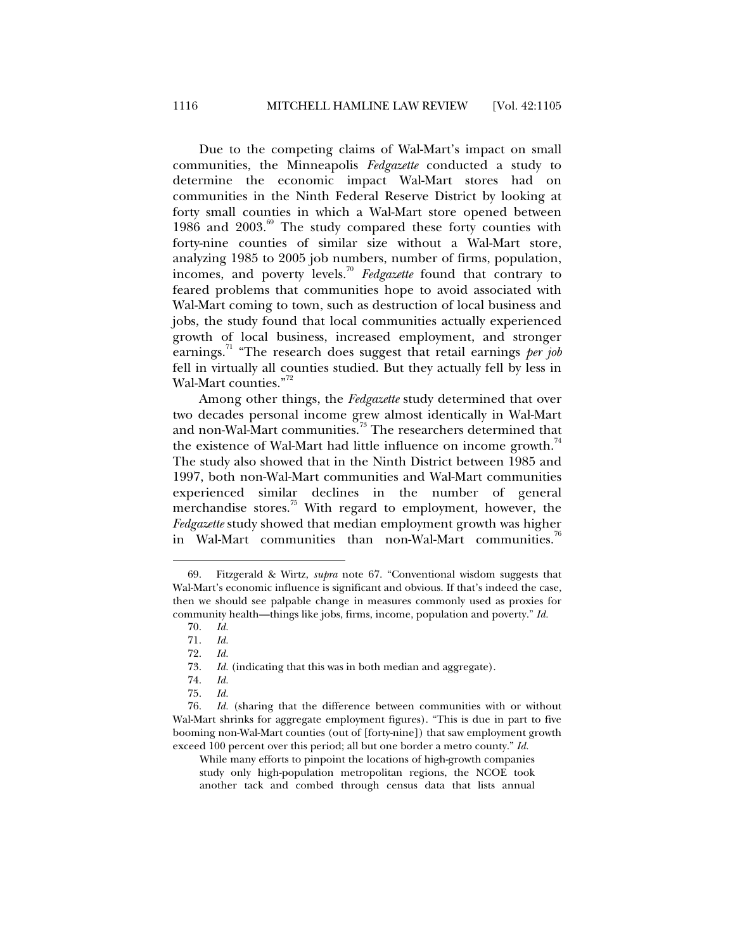Due to the competing claims of Wal-Mart's impact on small communities, the Minneapolis *Fedgazette* conducted a study to determine the economic impact Wal-Mart stores had on communities in the Ninth Federal Reserve District by looking at forty small counties in which a Wal-Mart store opened between 1986 and  $2003$ .<sup>69</sup> The study compared these forty counties with forty-nine counties of similar size without a Wal-Mart store, analyzing 1985 to 2005 job numbers, number of firms, population, incomes, and poverty levels.70 *Fedgazette* found that contrary to feared problems that communities hope to avoid associated with Wal-Mart coming to town, such as destruction of local business and jobs, the study found that local communities actually experienced growth of local business, increased employment, and stronger earnings.<sup>71</sup> "The research does suggest that retail earnings *per job* fell in virtually all counties studied. But they actually fell by less in Wal-Mart counties."<sup>72</sup>

Among other things, the *Fedgazette* study determined that over two decades personal income grew almost identically in Wal-Mart and non-Wal-Mart communities.<sup>73</sup> The researchers determined that the existence of Wal-Mart had little influence on income growth.<sup>74</sup> The study also showed that in the Ninth District between 1985 and 1997, both non-Wal-Mart communities and Wal-Mart communities experienced similar declines in the number of general merchandise stores.<sup>75</sup> With regard to employment, however, the *Fedgazette* study showed that median employment growth was higher in Wal-Mart communities than non-Wal-Mart communities.

 <sup>69.</sup> Fitzgerald & Wirtz, *supra* note 67. "Conventional wisdom suggests that Wal-Mart's economic influence is significant and obvious. If that's indeed the case, then we should see palpable change in measures commonly used as proxies for community health—things like jobs, firms, income, population and poverty." *Id.*

 <sup>70.</sup> *Id.* 

 <sup>71.</sup> *Id.*

 <sup>72.</sup> *Id.* 

 <sup>73.</sup> *Id.* (indicating that this was in both median and aggregate).

 <sup>74.</sup> *Id.*

 <sup>75.</sup> *Id.*

 <sup>76.</sup> *Id.* (sharing that the difference between communities with or without Wal-Mart shrinks for aggregate employment figures). "This is due in part to five booming non-Wal-Mart counties (out of [forty-nine]) that saw employment growth exceed 100 percent over this period; all but one border a metro county." *Id.*

While many efforts to pinpoint the locations of high-growth companies study only high-population metropolitan regions, the NCOE took another tack and combed through census data that lists annual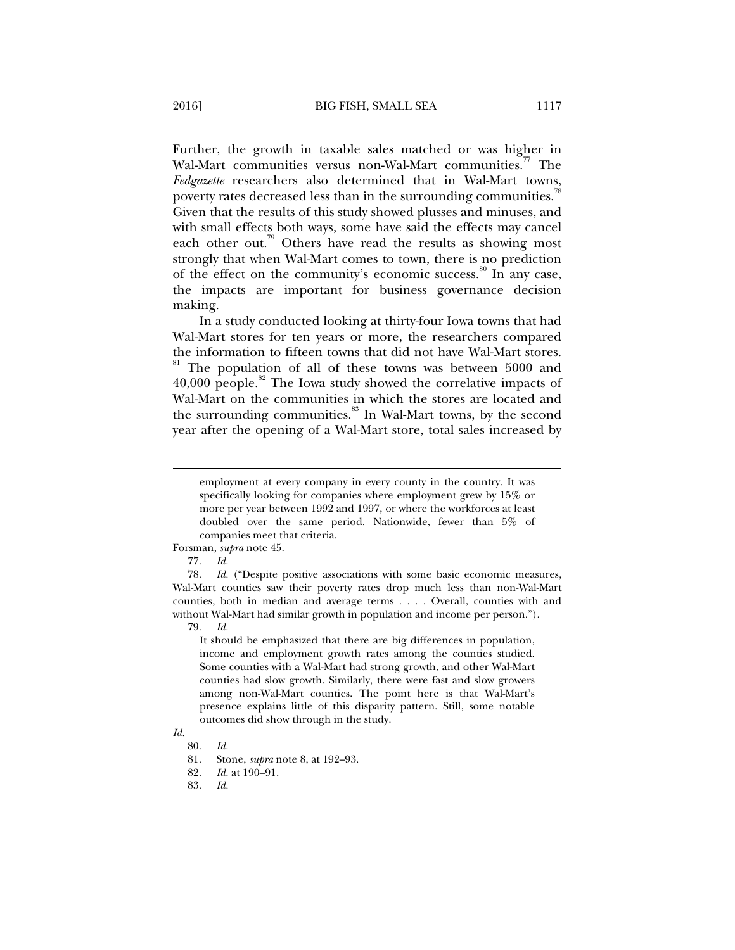Further, the growth in taxable sales matched or was higher in Wal-Mart communities versus non-Wal-Mart communities.<sup>77</sup> The *Fedgazette* researchers also determined that in Wal-Mart towns, poverty rates decreased less than in the surrounding communities.<sup>7</sup> Given that the results of this study showed plusses and minuses, and with small effects both ways, some have said the effects may cancel each other out.<sup>79</sup> Others have read the results as showing most strongly that when Wal-Mart comes to town, there is no prediction of the effect on the community's economic success.<sup>80</sup> In any case, the impacts are important for business governance decision making.

In a study conducted looking at thirty-four Iowa towns that had Wal-Mart stores for ten years or more, the researchers compared the information to fifteen towns that did not have Wal-Mart stores. 81 The population of all of these towns was between 5000 and  $40,000$  people.<sup>82</sup> The Iowa study showed the correlative impacts of Wal-Mart on the communities in which the stores are located and the surrounding communities.<sup>83</sup> In Wal-Mart towns, by the second year after the opening of a Wal-Mart store, total sales increased by

#### Forsman, *supra* note 45.

77. *Id.*

j

 78. *Id.* ("Despite positive associations with some basic economic measures, Wal-Mart counties saw their poverty rates drop much less than non-Wal-Mart counties, both in median and average terms . . . . Overall, counties with and without Wal-Mart had similar growth in population and income per person.").

79. *Id.* 

It should be emphasized that there are big differences in population, income and employment growth rates among the counties studied. Some counties with a Wal-Mart had strong growth, and other Wal-Mart counties had slow growth. Similarly, there were fast and slow growers among non-Wal-Mart counties. The point here is that Wal-Mart's presence explains little of this disparity pattern. Still, some notable outcomes did show through in the study.

## *Id.*

employment at every company in every county in the country. It was specifically looking for companies where employment grew by 15% or more per year between 1992 and 1997, or where the workforces at least doubled over the same period. Nationwide, fewer than 5% of companies meet that criteria.

 <sup>80.</sup> *Id.*

 <sup>81.</sup> Stone, *supra* note 8, at 192–93.

 <sup>82.</sup> *Id.* at 190–91.

 <sup>83.</sup> *Id.*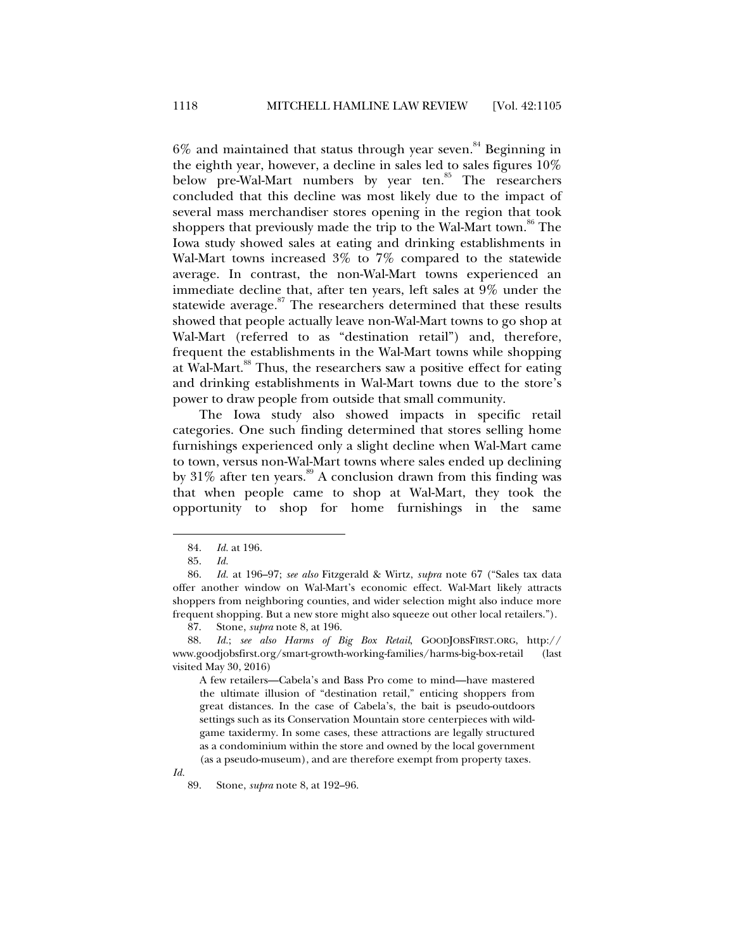$6\%$  and maintained that status through year seven.<sup>84</sup> Beginning in the eighth year, however, a decline in sales led to sales figures 10% below pre-Wal-Mart numbers by year ten. $85$  The researchers concluded that this decline was most likely due to the impact of several mass merchandiser stores opening in the region that took shoppers that previously made the trip to the Wal-Mart town.<sup>86</sup> The Iowa study showed sales at eating and drinking establishments in Wal-Mart towns increased 3% to 7% compared to the statewide average. In contrast, the non-Wal-Mart towns experienced an immediate decline that, after ten years, left sales at 9% under the statewide average. $87$  The researchers determined that these results showed that people actually leave non-Wal-Mart towns to go shop at Wal-Mart (referred to as "destination retail") and, therefore, frequent the establishments in the Wal-Mart towns while shopping at Wal-Mart.<sup>88</sup> Thus, the researchers saw a positive effect for eating and drinking establishments in Wal-Mart towns due to the store's power to draw people from outside that small community.

The Iowa study also showed impacts in specific retail categories. One such finding determined that stores selling home furnishings experienced only a slight decline when Wal-Mart came to town, versus non-Wal-Mart towns where sales ended up declining by  $31\%$  after ten years.<sup>89</sup> A conclusion drawn from this finding was that when people came to shop at Wal-Mart, they took the opportunity to shop for home furnishings in the same

j

A few retailers—Cabela's and Bass Pro come to mind—have mastered the ultimate illusion of "destination retail," enticing shoppers from great distances. In the case of Cabela's, the bait is pseudo-outdoors settings such as its Conservation Mountain store centerpieces with wildgame taxidermy. In some cases, these attractions are legally structured as a condominium within the store and owned by the local government (as a pseudo-museum), and are therefore exempt from property taxes.

 <sup>84.</sup> *Id.* at 196.

 <sup>85.</sup> *Id.*

 <sup>86.</sup> *Id.* at 196–97; *see also* Fitzgerald & Wirtz, *supra* note 67 ("Sales tax data offer another window on Wal-Mart's economic effect. Wal-Mart likely attracts shoppers from neighboring counties, and wider selection might also induce more frequent shopping. But a new store might also squeeze out other local retailers.").

 <sup>87.</sup> Stone, *supra* note 8, at 196.

 <sup>88.</sup> *Id.*; *see also Harms of Big Box Retail*, GOODJOBSFIRST.ORG, http:// www.goodjobsfirst.org/smart-growth-working-families/harms-big-box-retail (last visited May 30, 2016)

*Id.*

 <sup>89.</sup> Stone, *supra* note 8, at 192–96.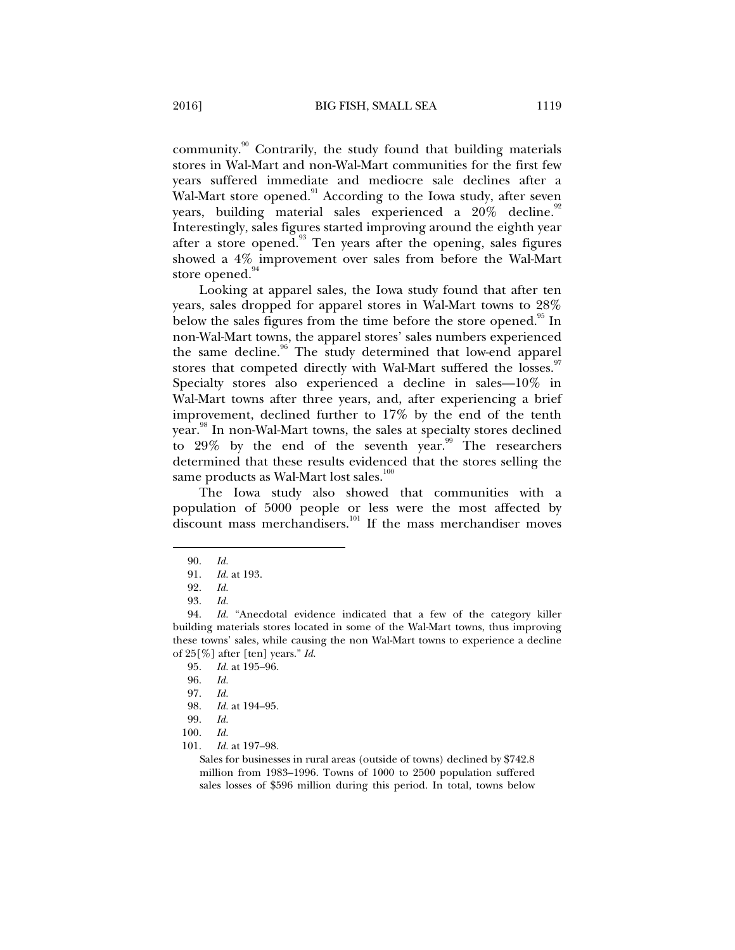community.90 Contrarily, the study found that building materials stores in Wal-Mart and non-Wal-Mart communities for the first few years suffered immediate and mediocre sale declines after a Wal-Mart store opened.<sup>91</sup> According to the Iowa study, after seven years, building material sales experienced a  $20\%$  decline.<sup>92</sup> Interestingly, sales figures started improving around the eighth year after a store opened. $93$  Ten years after the opening, sales figures showed a 4% improvement over sales from before the Wal-Mart store opened.<sup>94</sup>

Looking at apparel sales, the Iowa study found that after ten years, sales dropped for apparel stores in Wal-Mart towns to 28% below the sales figures from the time before the store opened.<sup>95</sup> In non-Wal-Mart towns, the apparel stores' sales numbers experienced the same decline.<sup>96</sup> The study determined that low-end apparel stores that competed directly with Wal-Mart suffered the losses.<sup>97</sup> Specialty stores also experienced a decline in sales—10% in Wal-Mart towns after three years, and, after experiencing a brief improvement, declined further to 17% by the end of the tenth year.<sup>98</sup> In non-Wal-Mart towns, the sales at specialty stores declined to  $29\%$  by the end of the seventh year.<sup>99</sup> The researchers determined that these results evidenced that the stores selling the same products as Wal-Mart lost sales.<sup>100</sup>

The Iowa study also showed that communities with a population of 5000 people or less were the most affected by discount mass merchandisers. $101$  If the mass merchandiser moves

j

97. *Id.*

100. *Id.* 

Sales for businesses in rural areas (outside of towns) declined by \$742.8 million from 1983–1996. Towns of 1000 to 2500 population suffered sales losses of \$596 million during this period. In total, towns below

 <sup>90.</sup> *Id.* 

 <sup>91.</sup> *Id.* at 193.

 <sup>92.</sup> *Id.*

 <sup>93.</sup> *Id.*

 <sup>94.</sup> *Id.* "Anecdotal evidence indicated that a few of the category killer building materials stores located in some of the Wal-Mart towns, thus improving these towns' sales, while causing the non Wal-Mart towns to experience a decline of 25[%] after [ten] years." *Id.*

 <sup>95.</sup> *Id.* at 195–96.

 <sup>96.</sup> *Id.*

 <sup>98.</sup> *Id.* at 194–95.

 <sup>99.</sup> *Id.*

 <sup>101.</sup> *Id.* at 197–98.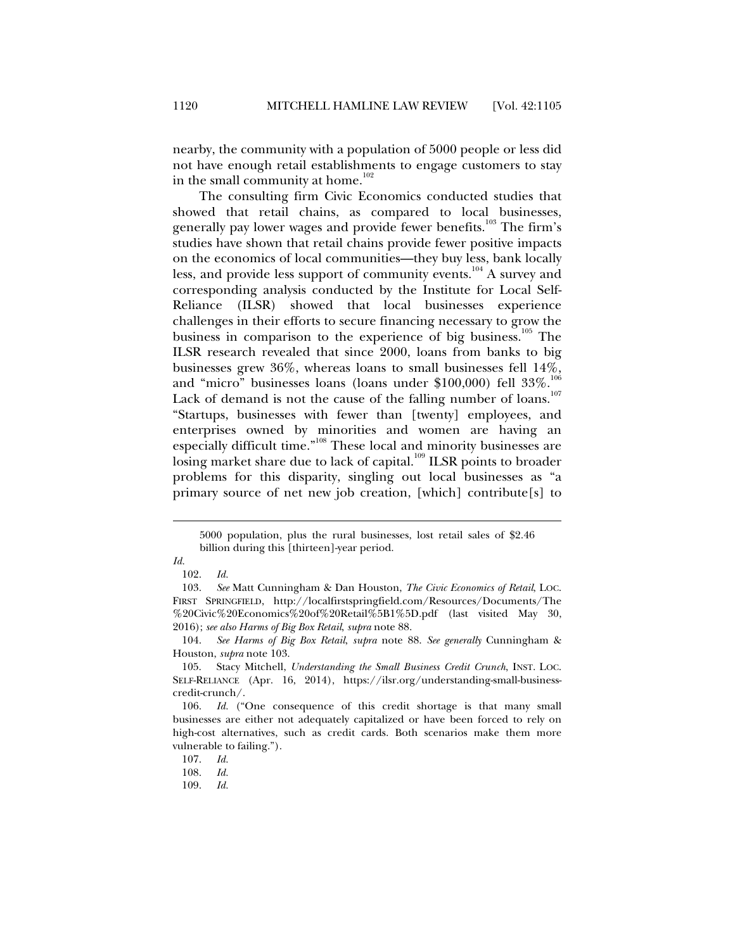nearby, the community with a population of 5000 people or less did not have enough retail establishments to engage customers to stay in the small community at home. $102$ 

The consulting firm Civic Economics conducted studies that showed that retail chains, as compared to local businesses, generally pay lower wages and provide fewer benefits.<sup>103</sup> The firm's studies have shown that retail chains provide fewer positive impacts on the economics of local communities—they buy less, bank locally less, and provide less support of community events.<sup>104</sup> A survey and corresponding analysis conducted by the Institute for Local Self-Reliance (ILSR) showed that local businesses experience challenges in their efforts to secure financing necessary to grow the business in comparison to the experience of big business.<sup>105</sup> The ILSR research revealed that since 2000, loans from banks to big businesses grew 36%, whereas loans to small businesses fell 14%, and "micro" businesses loans (loans under \$100,000) fell 33%.<sup>106</sup> Lack of demand is not the cause of the falling number of loans.<sup>1</sup> "Startups, businesses with fewer than [twenty] employees, and enterprises owned by minorities and women are having an especially difficult time."<sup>108</sup> These local and minority businesses are losing market share due to lack of capital.<sup>109</sup> ILSR points to broader problems for this disparity, singling out local businesses as "a primary source of net new job creation, [which] contribute[s] to

<sup>5000</sup> population, plus the rural businesses, lost retail sales of \$2.46 billion during this [thirteen]-year period.

*Id.*

 <sup>102.</sup> *Id.* 

 <sup>103.</sup> *See* Matt Cunningham & Dan Houston, *The Civic Economics of Retail*, LOC. FIRST SPRINGFIELD, http://localfirstspringfield.com/Resources/Documents/The %20Civic%20Economics%20of%20Retail%5B1%5D.pdf (last visited May 30, 2016); *see also Harms of Big Box Retail*, *supra* note 88.

 <sup>104.</sup> *See Harms of Big Box Retail*, *supra* note 88. *See generally* Cunningham & Houston, *supra* note 103.

 <sup>105.</sup> Stacy Mitchell, *Understanding the Small Business Credit Crunch*, INST. LOC. SELF-RELIANCE (Apr. 16, 2014), https://ilsr.org/understanding-small-businesscredit-crunch/.

 <sup>106.</sup> *Id.* ("One consequence of this credit shortage is that many small businesses are either not adequately capitalized or have been forced to rely on high-cost alternatives, such as credit cards. Both scenarios make them more vulnerable to failing.").

 <sup>107.</sup> *Id.*

 <sup>108.</sup> *Id.*

 <sup>109.</sup> *Id.*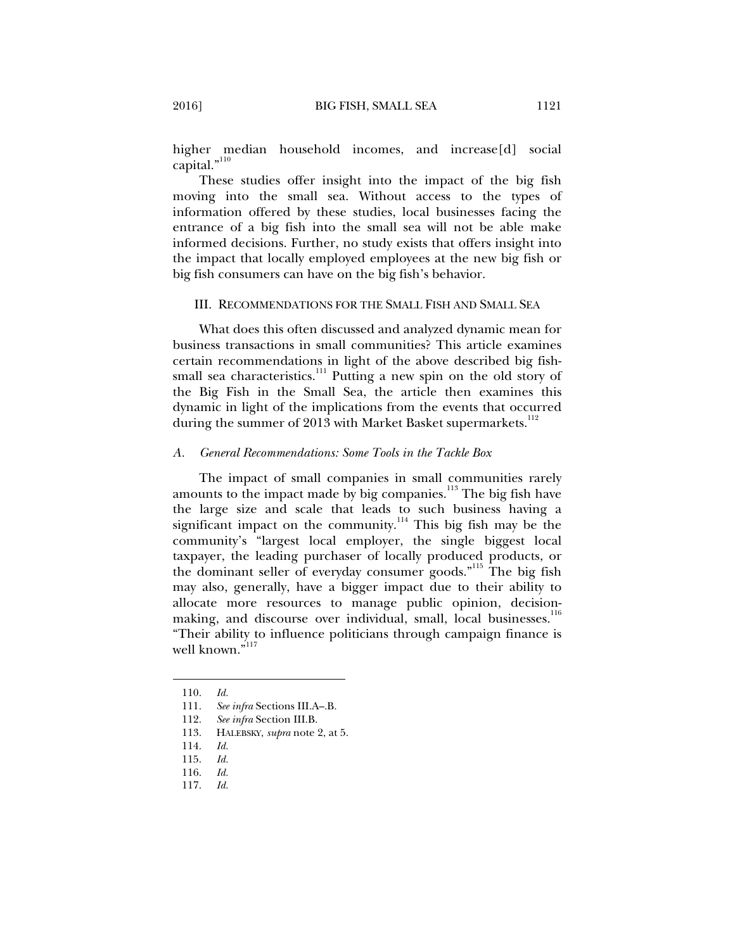higher median household incomes, and increase[d] social capital."<sup>110</sup>

These studies offer insight into the impact of the big fish moving into the small sea. Without access to the types of information offered by these studies, local businesses facing the entrance of a big fish into the small sea will not be able make informed decisions. Further, no study exists that offers insight into the impact that locally employed employees at the new big fish or big fish consumers can have on the big fish's behavior.

### III. RECOMMENDATIONS FOR THE SMALL FISH AND SMALL SEA

What does this often discussed and analyzed dynamic mean for business transactions in small communities? This article examines certain recommendations in light of the above described big fishsmall sea characteristics.<sup>111</sup> Putting a new spin on the old story of the Big Fish in the Small Sea, the article then examines this dynamic in light of the implications from the events that occurred during the summer of 2013 with Market Basket supermarkets.<sup>112</sup>

### *A. General Recommendations: Some Tools in the Tackle Box*

The impact of small companies in small communities rarely amounts to the impact made by big companies.<sup>113</sup> The big fish have the large size and scale that leads to such business having a significant impact on the community.<sup>114</sup> This big fish may be the community's "largest local employer, the single biggest local taxpayer, the leading purchaser of locally produced products, or the dominant seller of everyday consumer goods."115 The big fish may also, generally, have a bigger impact due to their ability to allocate more resources to manage public opinion, decisionmaking, and discourse over individual, small, local businesses.<sup>116</sup> "Their ability to influence politicians through campaign finance is well known."<sup>117</sup>

 <sup>110.</sup> *Id.*

 <sup>111.</sup> *See infra* Sections III.A–.B.

 <sup>112.</sup> *See infra* Section III.B.

 <sup>113.</sup> HALEBSKY, *supra* note 2, at 5.

 <sup>114.</sup> *Id.*

 <sup>115.</sup> *Id.*

 <sup>116.</sup> *Id.*

 <sup>117.</sup> *Id.*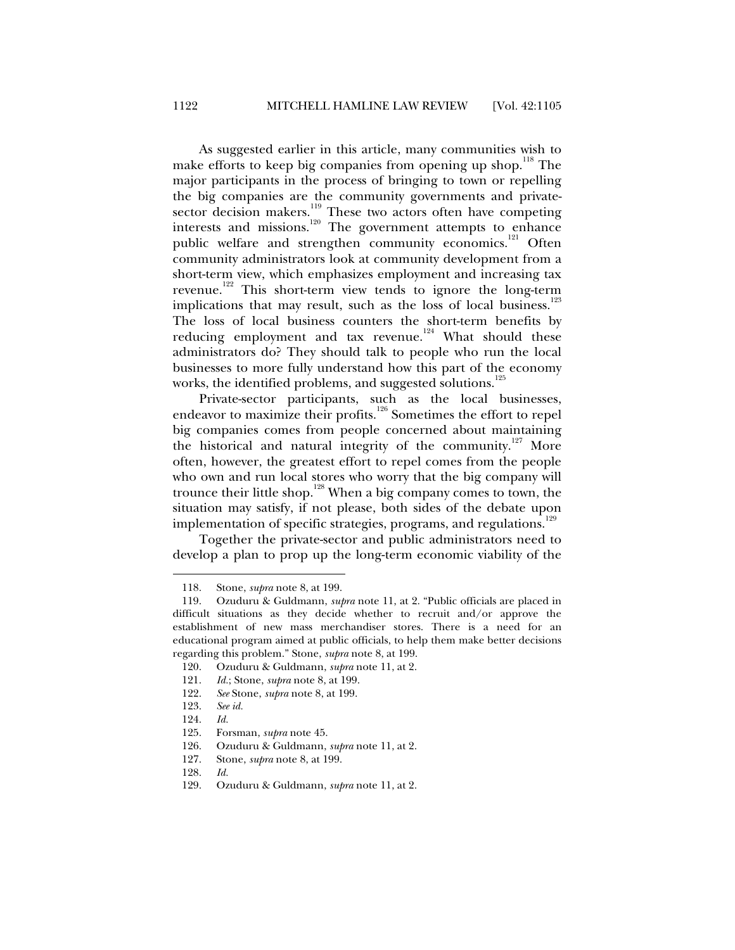As suggested earlier in this article, many communities wish to make efforts to keep big companies from opening up shop.<sup>118</sup> The major participants in the process of bringing to town or repelling the big companies are the community governments and privatesector decision makers.<sup>119</sup> These two actors often have competing interests and missions.<sup>120</sup> The government attempts to enhance public welfare and strengthen community economics.<sup>121</sup> Often community administrators look at community development from a short-term view, which emphasizes employment and increasing tax revenue.<sup>122</sup> This short-term view tends to ignore the long-term implications that may result, such as the loss of local business.<sup>123</sup> The loss of local business counters the short-term benefits by reducing employment and tax revenue.<sup>124</sup> What should these administrators do? They should talk to people who run the local businesses to more fully understand how this part of the economy works, the identified problems, and suggested solutions.<sup>125</sup>

Private-sector participants, such as the local businesses, endeavor to maximize their profits.126 Sometimes the effort to repel big companies comes from people concerned about maintaining the historical and natural integrity of the community.<sup>127</sup> More often, however, the greatest effort to repel comes from the people who own and run local stores who worry that the big company will trounce their little shop.<sup>128</sup> When a big company comes to town, the situation may satisfy, if not please, both sides of the debate upon implementation of specific strategies, programs, and regulations.<sup>129</sup>

Together the private-sector and public administrators need to develop a plan to prop up the long-term economic viability of the

- 126. Ozuduru & Guldmann, *supra* note 11, at 2.
- 127. Stone, *supra* note 8, at 199.
- 128. *Id.*
- 129. Ozuduru & Guldmann, *supra* note 11, at 2.

 <sup>118.</sup> Stone, *supra* note 8, at 199.

 <sup>119.</sup> Ozuduru & Guldmann, *supra* note 11, at 2. "Public officials are placed in difficult situations as they decide whether to recruit and/or approve the establishment of new mass merchandiser stores. There is a need for an educational program aimed at public officials, to help them make better decisions regarding this problem." Stone, *supra* note 8, at 199.

 <sup>120.</sup> Ozuduru & Guldmann, *supra* note 11, at 2.

 <sup>121.</sup> *Id.*; Stone, *supra* note 8, at 199.

 <sup>122.</sup> *See* Stone, *supra* note 8, at 199.

 <sup>123.</sup> *See id.*

 <sup>124.</sup> *Id.*

 <sup>125.</sup> Forsman, *supra* note 45.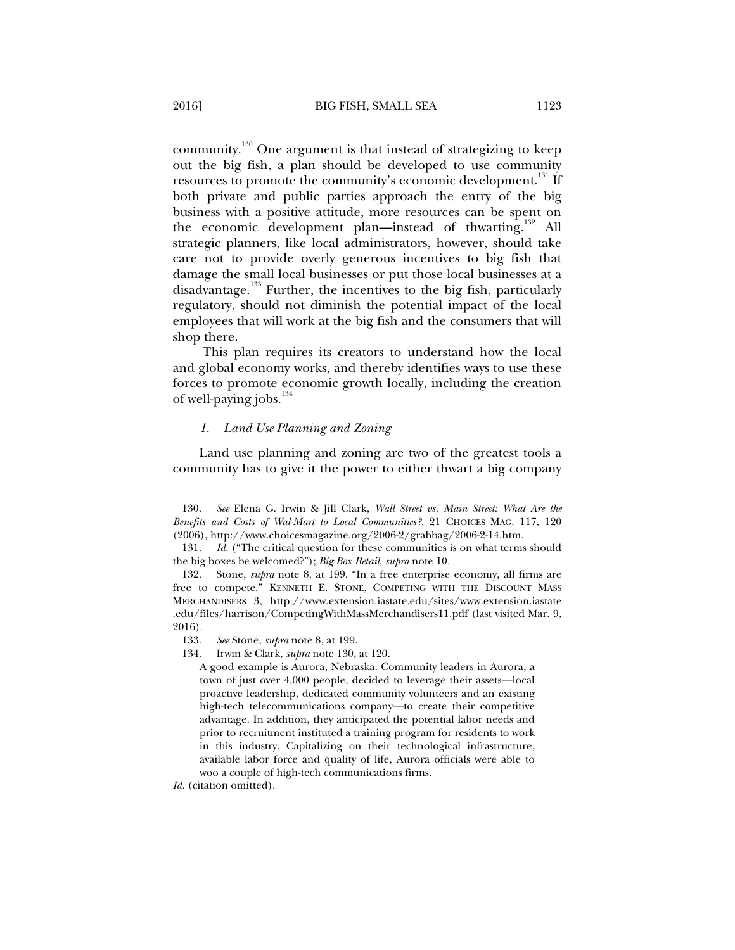community.130 One argument is that instead of strategizing to keep out the big fish, a plan should be developed to use community resources to promote the community's economic development.<sup>131</sup> If both private and public parties approach the entry of the big business with a positive attitude, more resources can be spent on the economic development plan—instead of thwarting.<sup>132</sup> All strategic planners, like local administrators, however, should take care not to provide overly generous incentives to big fish that damage the small local businesses or put those local businesses at a disadvantage.<sup>133</sup> Further, the incentives to the big fish, particularly regulatory, should not diminish the potential impact of the local employees that will work at the big fish and the consumers that will shop there.

 This plan requires its creators to understand how the local and global economy works, and thereby identifies ways to use these forces to promote economic growth locally, including the creation of well-paying jobs.<sup>134</sup>

## *1. Land Use Planning and Zoning*

Land use planning and zoning are two of the greatest tools a community has to give it the power to either thwart a big company

*Id.* (citation omitted).

 <sup>130.</sup> *See* Elena G. Irwin & Jill Clark, *Wall Street vs. Main Street: What Are the Benefits and Costs of Wal-Mart to Local Communities?*, 21 CHOICES MAG. 117, 120 (2006), http://www.choicesmagazine.org/2006-2/grabbag/2006-2-14.htm.

 <sup>131.</sup> *Id.* ("The critical question for these communities is on what terms should the big boxes be welcomed?"); *Big Box Retail*, *supra* note 10.

Stone, *supra* note 8, at 199. "In a free enterprise economy, all firms are free to compete." KENNETH E. STONE, COMPETING WITH THE DISCOUNT MASS MERCHANDISERS 3, http://www.extension.iastate.edu/sites/www.extension.iastate .edu/files/harrison/CompetingWithMassMerchandisers11.pdf (last visited Mar. 9, 2016).

 <sup>133.</sup> *See* Stone, *supra* note 8, at 199.

 <sup>134.</sup> Irwin & Clark, *supra* note 130, at 120.

A good example is Aurora, Nebraska. Community leaders in Aurora, a town of just over 4,000 people, decided to leverage their assets—local proactive leadership, dedicated community volunteers and an existing high-tech telecommunications company—to create their competitive advantage. In addition, they anticipated the potential labor needs and prior to recruitment instituted a training program for residents to work in this industry. Capitalizing on their technological infrastructure, available labor force and quality of life, Aurora officials were able to woo a couple of high-tech communications firms.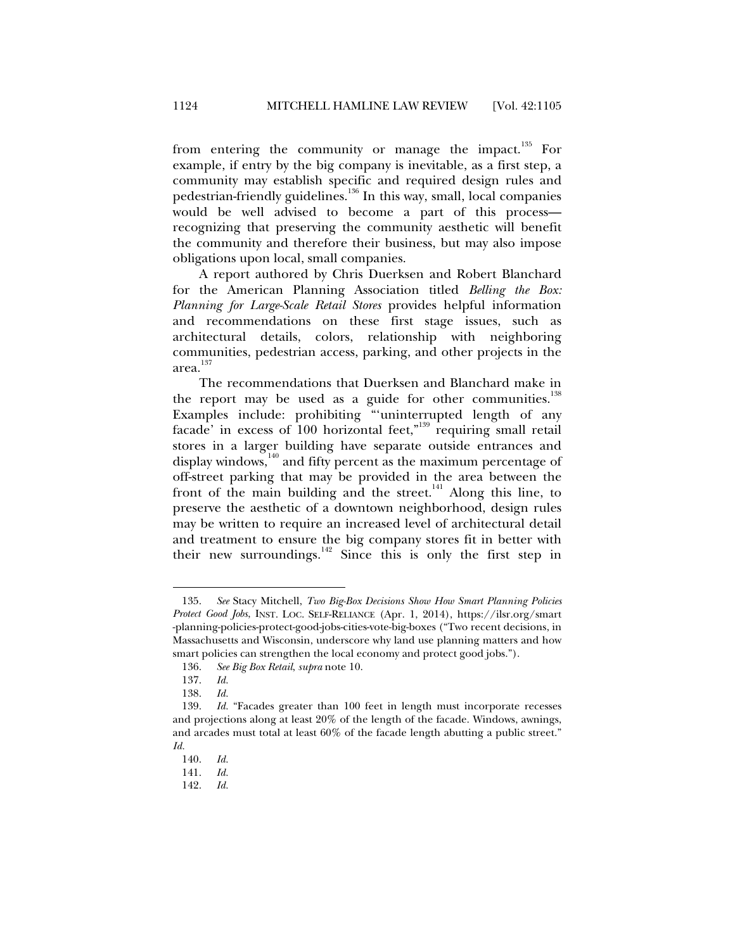from entering the community or manage the impact.<sup>135</sup> For example, if entry by the big company is inevitable, as a first step, a community may establish specific and required design rules and pedestrian-friendly guidelines.136 In this way, small, local companies would be well advised to become a part of this process recognizing that preserving the community aesthetic will benefit the community and therefore their business, but may also impose obligations upon local, small companies.

A report authored by Chris Duerksen and Robert Blanchard for the American Planning Association titled *Belling the Box: Planning for Large-Scale Retail Stores* provides helpful information and recommendations on these first stage issues, such as architectural details, colors, relationship with neighboring communities, pedestrian access, parking, and other projects in the area.<sup>137</sup>

The recommendations that Duerksen and Blanchard make in the report may be used as a guide for other communities.<sup>138</sup> Examples include: prohibiting "'uninterrupted length of any facade' in excess of 100 horizontal feet,"<sup>139</sup> requiring small retail stores in a larger building have separate outside entrances and display windows,<sup>140</sup> and fifty percent as the maximum percentage of off-street parking that may be provided in the area between the front of the main building and the street.<sup>141</sup> Along this line, to preserve the aesthetic of a downtown neighborhood, design rules may be written to require an increased level of architectural detail and treatment to ensure the big company stores fit in better with their new surroundings. $142$  Since this is only the first step in

 <sup>135.</sup> *See* Stacy Mitchell, *Two Big-Box Decisions Show How Smart Planning Policies Protect Good Jobs*, INST. LOC. SELF-RELIANCE (Apr. 1, 2014), https://ilsr.org/smart -planning-policies-protect-good-jobs-cities-vote-big-boxes ("Two recent decisions, in Massachusetts and Wisconsin, underscore why land use planning matters and how smart policies can strengthen the local economy and protect good jobs.").

 <sup>136.</sup> *See Big Box Retail*, *supra* note 10.

 <sup>137.</sup> *Id.*

 <sup>138.</sup> *Id.*

 <sup>139.</sup> *Id.* "Facades greater than 100 feet in length must incorporate recesses and projections along at least 20% of the length of the facade. Windows, awnings, and arcades must total at least 60% of the facade length abutting a public street." *Id.*

 <sup>140.</sup> *Id.*

 <sup>141.</sup> *Id.*

 <sup>142.</sup> *Id.*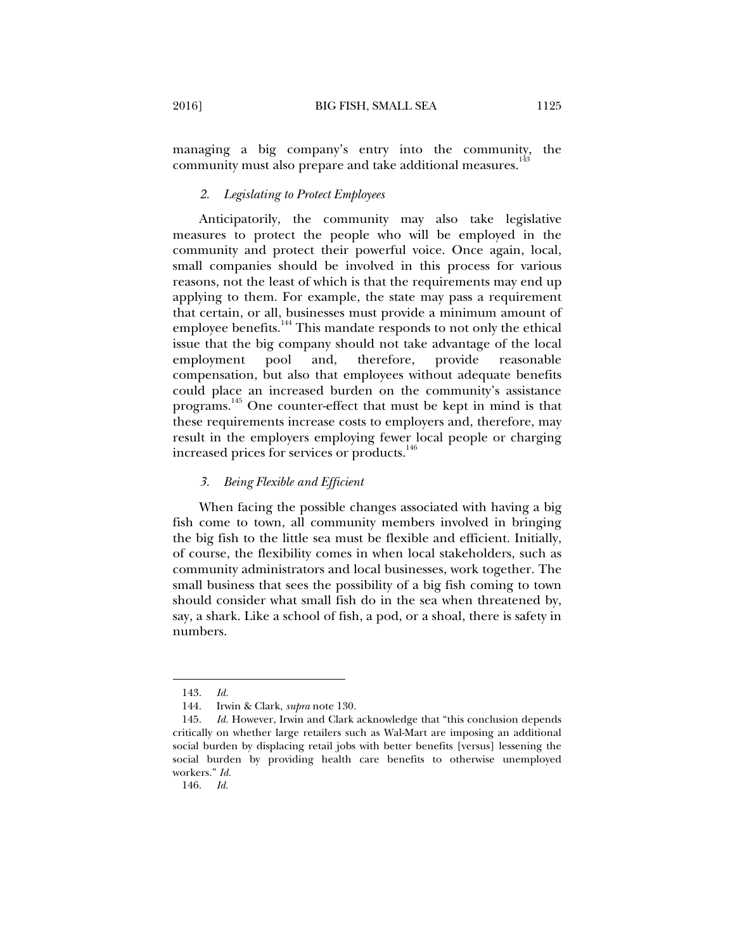managing a big company's entry into the community, the community must also prepare and take additional measures.<sup>1</sup>

### *2. Legislating to Protect Employees*

Anticipatorily, the community may also take legislative measures to protect the people who will be employed in the community and protect their powerful voice. Once again, local, small companies should be involved in this process for various reasons, not the least of which is that the requirements may end up applying to them. For example, the state may pass a requirement that certain, or all, businesses must provide a minimum amount of employee benefits.144 This mandate responds to not only the ethical issue that the big company should not take advantage of the local employment pool and, therefore, provide reasonable compensation, but also that employees without adequate benefits could place an increased burden on the community's assistance programs.<sup>145</sup> One counter-effect that must be kept in mind is that these requirements increase costs to employers and, therefore, may result in the employers employing fewer local people or charging increased prices for services or products.<sup>146</sup>

## *3. Being Flexible and Efficient*

When facing the possible changes associated with having a big fish come to town, all community members involved in bringing the big fish to the little sea must be flexible and efficient. Initially, of course, the flexibility comes in when local stakeholders, such as community administrators and local businesses, work together. The small business that sees the possibility of a big fish coming to town should consider what small fish do in the sea when threatened by, say, a shark. Like a school of fish, a pod, or a shoal, there is safety in numbers.

 <sup>143.</sup> *Id.*

 <sup>144.</sup> Irwin & Clark, *supra* note 130.

 <sup>145.</sup> *Id.* However, Irwin and Clark acknowledge that "this conclusion depends critically on whether large retailers such as Wal-Mart are imposing an additional social burden by displacing retail jobs with better benefits [versus] lessening the social burden by providing health care benefits to otherwise unemployed workers." *Id.*

 <sup>146.</sup> *Id.*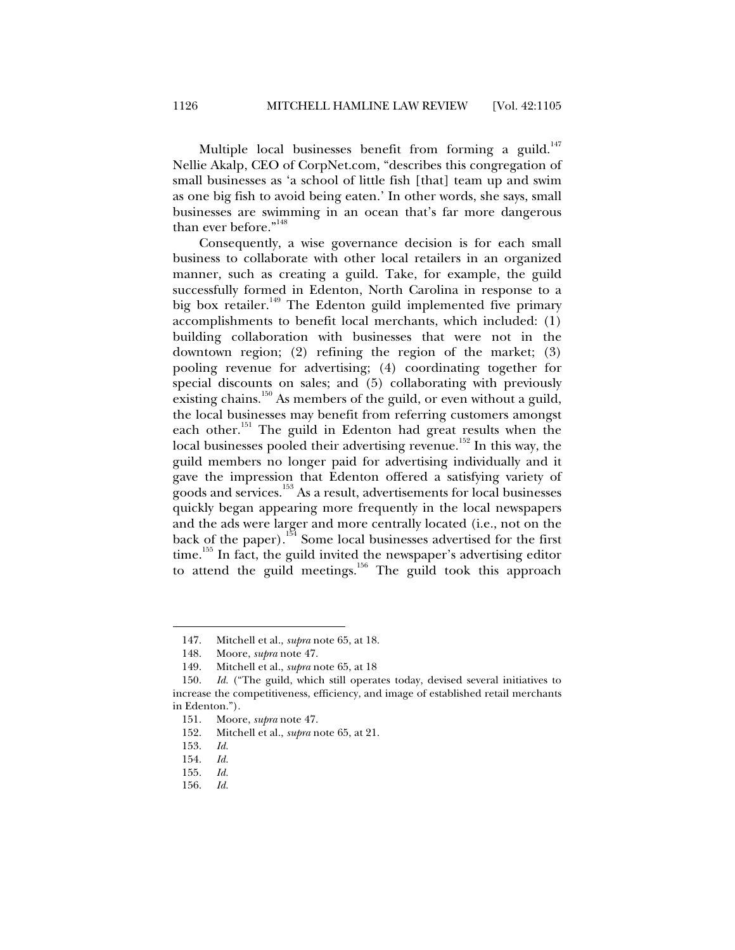Multiple local businesses benefit from forming a guild.<sup>147</sup> Nellie Akalp, CEO of CorpNet.com, "describes this congregation of small businesses as 'a school of little fish [that] team up and swim as one big fish to avoid being eaten.' In other words, she says, small businesses are swimming in an ocean that's far more dangerous than ever before."<sup>148</sup>

Consequently, a wise governance decision is for each small business to collaborate with other local retailers in an organized manner, such as creating a guild. Take, for example, the guild successfully formed in Edenton, North Carolina in response to a big box retailer.<sup>149</sup> The Edenton guild implemented five primary accomplishments to benefit local merchants, which included: (1) building collaboration with businesses that were not in the downtown region; (2) refining the region of the market; (3) pooling revenue for advertising; (4) coordinating together for special discounts on sales; and (5) collaborating with previously existing chains.<sup>150</sup> As members of the guild, or even without a guild, the local businesses may benefit from referring customers amongst each other.<sup>151</sup> The guild in Edenton had great results when the local businesses pooled their advertising revenue.<sup>152</sup> In this way, the guild members no longer paid for advertising individually and it gave the impression that Edenton offered a satisfying variety of goods and services.153 As a result, advertisements for local businesses quickly began appearing more frequently in the local newspapers and the ads were larger and more centrally located (i.e., not on the back of the paper).<sup>154</sup> Some local businesses advertised for the first  $time<sup>155</sup>$  In fact, the guild invited the newspaper's advertising editor to attend the guild meetings.<sup>156</sup> The guild took this approach

 <sup>147.</sup> Mitchell et al., *supra* note 65, at 18.

 <sup>148.</sup> Moore, *supra* note 47.

 <sup>149.</sup> Mitchell et al., *supra* note 65, at 18

 <sup>150.</sup> *Id.* ("The guild, which still operates today, devised several initiatives to increase the competitiveness, efficiency, and image of established retail merchants in Edenton.").

 <sup>151.</sup> Moore, *supra* note 47.

 <sup>152.</sup> Mitchell et al., *supra* note 65, at 21.

 <sup>153.</sup> *Id.*

 <sup>154.</sup> *Id.*

 <sup>155.</sup> *Id.*

 <sup>156.</sup> *Id.*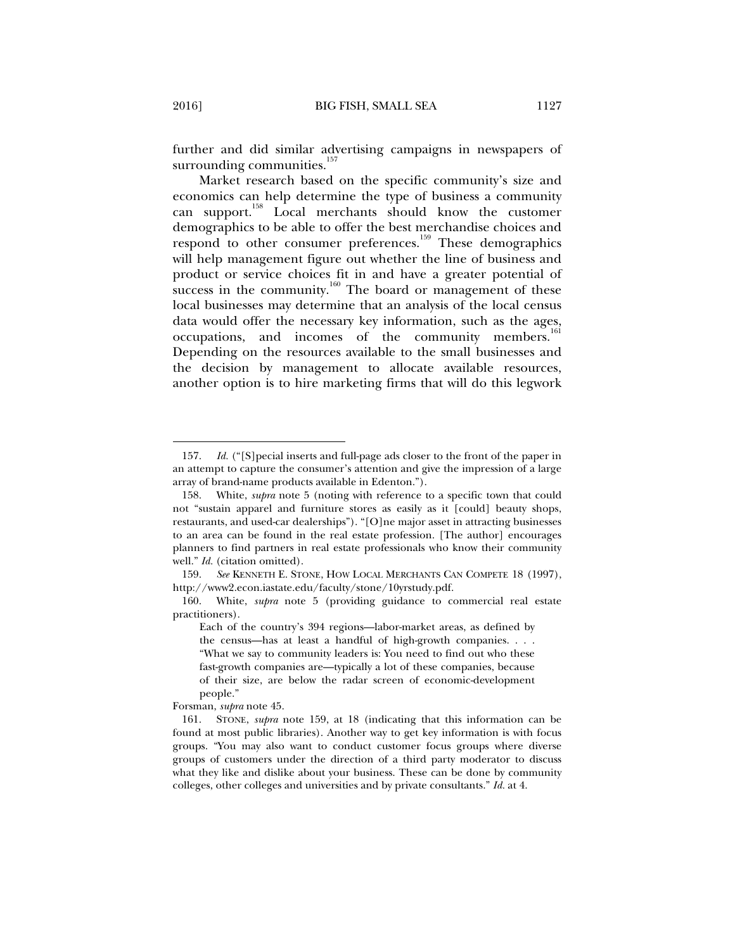further and did similar advertising campaigns in newspapers of surrounding communities.<sup>157</sup>

Market research based on the specific community's size and economics can help determine the type of business a community can support.158 Local merchants should know the customer demographics to be able to offer the best merchandise choices and respond to other consumer preferences.<sup>159</sup> These demographics will help management figure out whether the line of business and product or service choices fit in and have a greater potential of success in the community.<sup>160</sup> The board or management of these local businesses may determine that an analysis of the local census data would offer the necessary key information, such as the ages, occupations, and incomes of the community members.<sup>1</sup> Depending on the resources available to the small businesses and the decision by management to allocate available resources, another option is to hire marketing firms that will do this legwork

 <sup>157.</sup> *Id.* ("[S]pecial inserts and full-page ads closer to the front of the paper in an attempt to capture the consumer's attention and give the impression of a large array of brand-name products available in Edenton.").

 <sup>158.</sup> White, *supra* note 5 (noting with reference to a specific town that could not "sustain apparel and furniture stores as easily as it [could] beauty shops, restaurants, and used-car dealerships"). "[O]ne major asset in attracting businesses to an area can be found in the real estate profession. [The author] encourages planners to find partners in real estate professionals who know their community well." *Id.* (citation omitted).

 <sup>159.</sup> *See* KENNETH E. STONE, HOW LOCAL MERCHANTS CAN COMPETE 18 (1997), http://www2.econ.iastate.edu/faculty/stone/10yrstudy.pdf.

 <sup>160.</sup> White, *supra* note 5 (providing guidance to commercial real estate practitioners).

Each of the country's 394 regions—labor-market areas, as defined by the census—has at least a handful of high-growth companies. . . . "What we say to community leaders is: You need to find out who these fast-growth companies are—typically a lot of these companies, because of their size, are below the radar screen of economic-development people."

Forsman, *supra* note 45.

 <sup>161.</sup> STONE, *supra* note 159, at 18 (indicating that this information can be found at most public libraries). Another way to get key information is with focus groups. "You may also want to conduct customer focus groups where diverse groups of customers under the direction of a third party moderator to discuss what they like and dislike about your business. These can be done by community colleges, other colleges and universities and by private consultants." *Id.* at 4.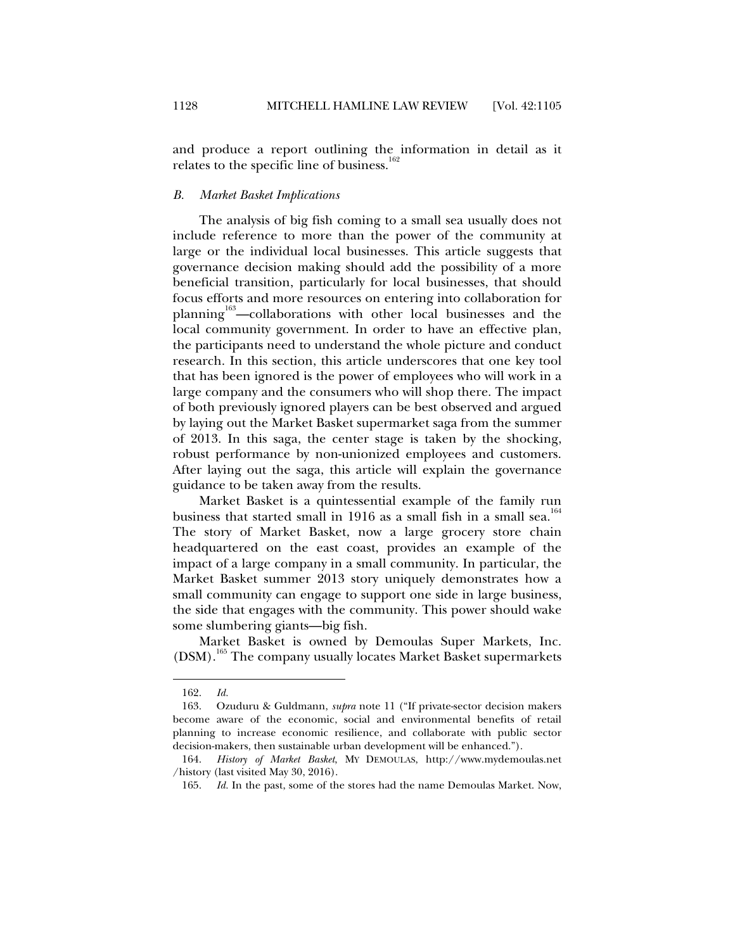and produce a report outlining the information in detail as it relates to the specific line of business.<sup>162</sup>

### *B. Market Basket Implications*

The analysis of big fish coming to a small sea usually does not include reference to more than the power of the community at large or the individual local businesses. This article suggests that governance decision making should add the possibility of a more beneficial transition, particularly for local businesses, that should focus efforts and more resources on entering into collaboration for planning<sup>163</sup>—collaborations with other local businesses and the local community government. In order to have an effective plan, the participants need to understand the whole picture and conduct research. In this section, this article underscores that one key tool that has been ignored is the power of employees who will work in a large company and the consumers who will shop there. The impact of both previously ignored players can be best observed and argued by laying out the Market Basket supermarket saga from the summer of 2013. In this saga, the center stage is taken by the shocking, robust performance by non-unionized employees and customers. After laying out the saga, this article will explain the governance guidance to be taken away from the results.

Market Basket is a quintessential example of the family run business that started small in 1916 as a small fish in a small sea.<sup>104</sup> The story of Market Basket, now a large grocery store chain headquartered on the east coast, provides an example of the impact of a large company in a small community. In particular, the Market Basket summer 2013 story uniquely demonstrates how a small community can engage to support one side in large business, the side that engages with the community. This power should wake some slumbering giants—big fish.

Market Basket is owned by Demoulas Super Markets, Inc. (DSM).<sup>165</sup> The company usually locates Market Basket supermarkets

 <sup>162.</sup> *Id.*

 <sup>163.</sup> Ozuduru & Guldmann, *supra* note 11 ("If private-sector decision makers become aware of the economic, social and environmental benefits of retail planning to increase economic resilience, and collaborate with public sector decision-makers, then sustainable urban development will be enhanced.").

 <sup>164.</sup> *History of Market Basket*, MY DEMOULAS, http://www.mydemoulas.net /history (last visited May 30, 2016).

 <sup>165.</sup> *Id.* In the past, some of the stores had the name Demoulas Market. Now,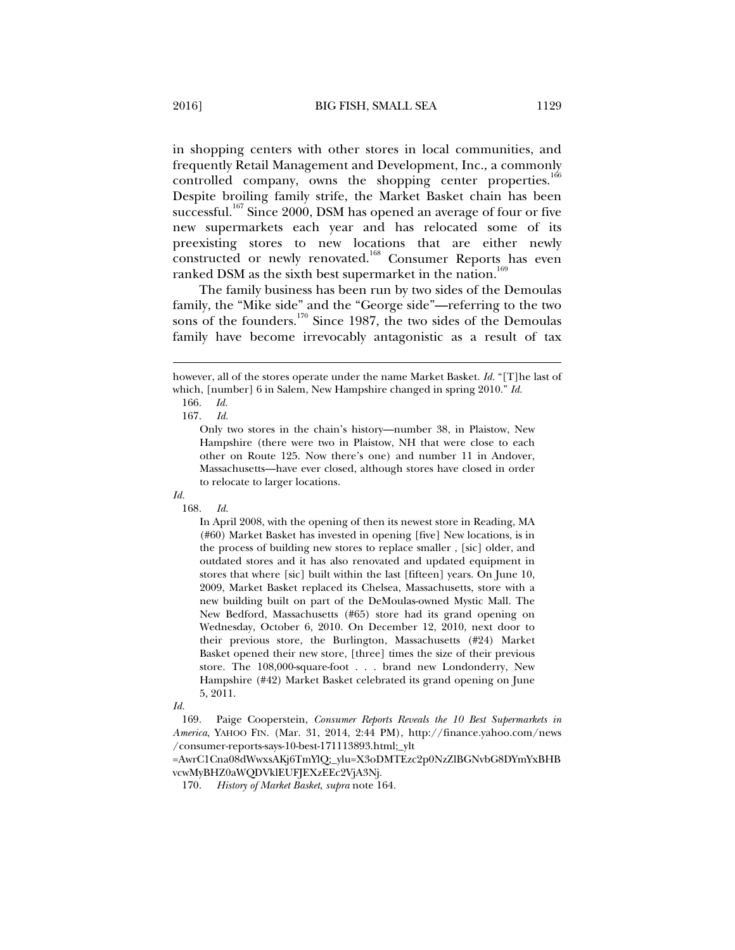in shopping centers with other stores in local communities, and frequently Retail Management and Development, Inc., a commonly controlled company, owns the shopping center properties.<sup>166</sup> Despite broiling family strife, the Market Basket chain has been successful.<sup>167</sup> Since 2000, DSM has opened an average of four or five new supermarkets each year and has relocated some of its preexisting stores to new locations that are either newly

ranked DSM as the sixth best supermarket in the nation.<sup>169</sup> The family business has been run by two sides of the Demoulas family, the "Mike side" and the "George side"—referring to the two sons of the founders.<sup>170</sup> Since 1987, the two sides of the Demoulas family have become irrevocably antagonistic as a result of tax

constructed or newly renovated.<sup>168</sup> Consumer Reports has even

j

167. *Id.* 

## *Id.*

168. *Id.*

In April 2008, with the opening of then its newest store in Reading, MA (#60) Market Basket has invested in opening [five] New locations, is in the process of building new stores to replace smaller , [sic] older, and outdated stores and it has also renovated and updated equipment in stores that where [sic] built within the last [fifteen] years. On June 10, 2009, Market Basket replaced its Chelsea, Massachusetts, store with a new building built on part of the DeMoulas-owned Mystic Mall. The New Bedford, Massachusetts (#65) store had its grand opening on Wednesday, October 6, 2010. On December 12, 2010, next door to their previous store, the Burlington, Massachusetts (#24) Market Basket opened their new store, [three] times the size of their previous store. The 108,000-square-foot . . . brand new Londonderry, New Hampshire (#42) Market Basket celebrated its grand opening on June 5, 2011.

*Id.*

 169. Paige Cooperstein, *Consumer Reports Reveals the 10 Best Supermarkets in America*, YAHOO FIN. (Mar. 31, 2014, 2:44 PM), http://finance.yahoo.com/news /consumer-reports-says-10-best-171113893.html;\_ylt

=AwrC1Cna08dWwxsAKj6TmYlQ;\_ylu=X3oDMTEzc2p0NzZlBGNvbG8DYmYxBHB vcwMyBHZ0aWQDVklEUFJEXzEEc2VjA3Nj.

170. *History of Market Basket*, *supra* note 164.

however, all of the stores operate under the name Market Basket. *Id.* "[T]he last of which, [number] 6 in Salem, New Hampshire changed in spring 2010." *Id.*

 <sup>166.</sup> *Id.*

Only two stores in the chain's history—number 38, in Plaistow, New Hampshire (there were two in Plaistow, NH that were close to each other on Route 125. Now there's one) and number 11 in Andover, Massachusetts—have ever closed, although stores have closed in order to relocate to larger locations.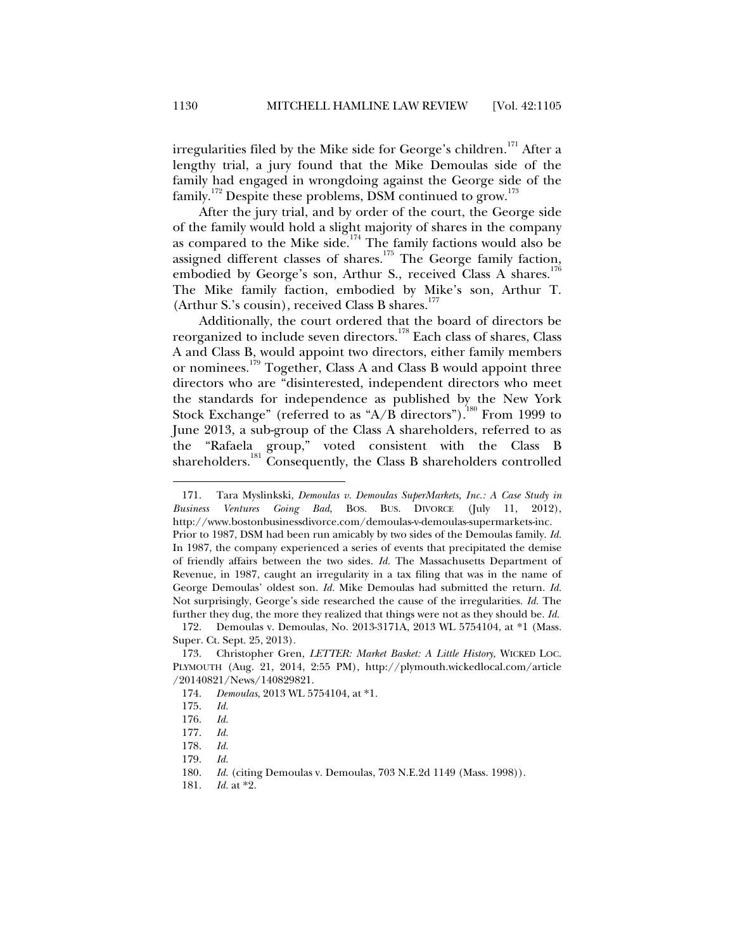irregularities filed by the Mike side for George's children.<sup>171</sup> After a lengthy trial, a jury found that the Mike Demoulas side of the family had engaged in wrongdoing against the George side of the family.<sup>172</sup> Despite these problems, DSM continued to grow.<sup>173</sup>

After the jury trial, and by order of the court, the George side of the family would hold a slight majority of shares in the company as compared to the Mike side.<sup>174</sup> The family factions would also be assigned different classes of shares.<sup>175</sup> The George family faction, embodied by George's son, Arthur S., received Class A shares.<sup>176</sup> The Mike family faction, embodied by Mike's son, Arthur T. (Arthur S.'s cousin), received Class B shares.<sup>177</sup>

Additionally, the court ordered that the board of directors be reorganized to include seven directors.178 Each class of shares, Class A and Class B, would appoint two directors, either family members or nominees.<sup>179</sup> Together, Class A and Class B would appoint three directors who are "disinterested, independent directors who meet the standards for independence as published by the New York Stock Exchange" (referred to as "A/B directors").<sup>180</sup> From 1999 to June 2013, a sub-group of the Class A shareholders, referred to as the "Rafaela group," voted consistent with the Class B shareholders.<sup>181</sup> Consequently, the Class B shareholders controlled

 <sup>171.</sup> Tara Myslinkski, *Demoulas v. Demoulas SuperMarkets, Inc.: A Case Study in Business Ventures Going Bad*, BOS. BUS. DIVORCE (July 11, 2012), http://www.bostonbusinessdivorce.com/demoulas-v-demoulas-supermarkets-inc.

Prior to 1987, DSM had been run amicably by two sides of the Demoulas family. *Id.* In 1987, the company experienced a series of events that precipitated the demise of friendly affairs between the two sides. *Id.* The Massachusetts Department of Revenue, in 1987, caught an irregularity in a tax filing that was in the name of George Demoulas' oldest son. *Id.* Mike Demoulas had submitted the return. *Id.* Not surprisingly, George's side researched the cause of the irregularities. *Id.* The further they dug, the more they realized that things were not as they should be. *Id.*

 <sup>172.</sup> Demoulas v. Demoulas, No. 2013-3171A, 2013 WL 5754104, at \*1 (Mass. Super. Ct. Sept. 25, 2013).

 <sup>173.</sup> Christopher Gren, *LETTER: Market Basket: A Little History*, WICKED LOC. PLYMOUTH (Aug. 21, 2014, 2:55 PM), http://plymouth.wickedlocal.com/article /20140821/News/140829821.

 <sup>174.</sup> *Demoulas*, 2013 WL 5754104, at \*1.

 <sup>175.</sup> *Id.*

 <sup>176.</sup> *Id.*

 <sup>177.</sup> *Id.*

 <sup>178.</sup> *Id.*

 <sup>179.</sup> *Id.*

 <sup>180.</sup> *Id.* (citing Demoulas v. Demoulas, 703 N.E.2d 1149 (Mass. 1998)).

 <sup>181.</sup> *Id.* at \*2.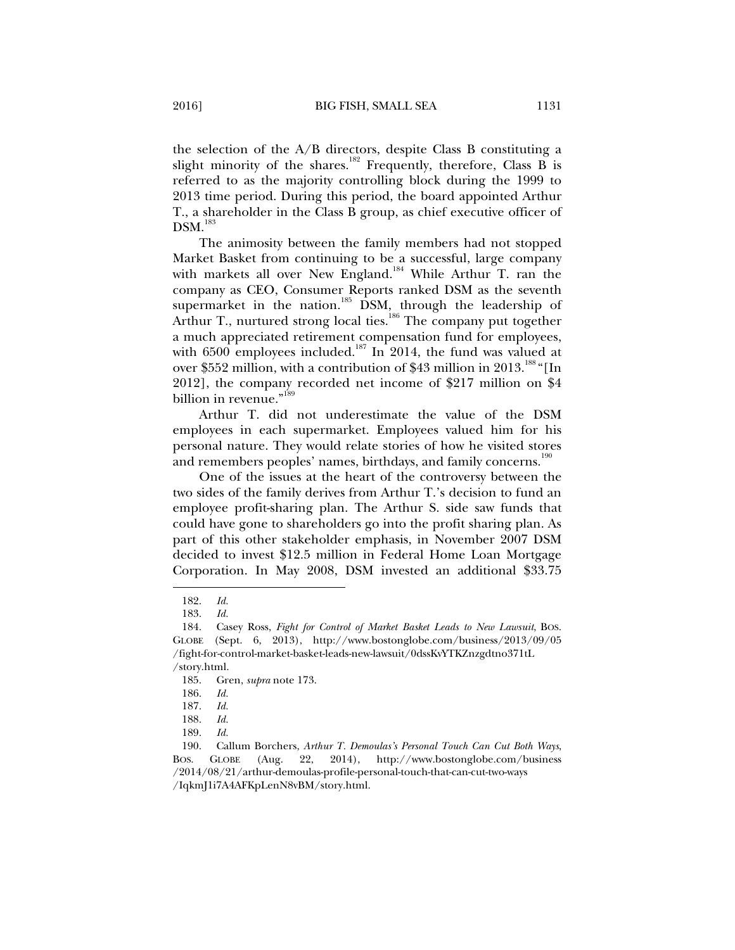the selection of the A/B directors, despite Class B constituting a slight minority of the shares.<sup>182</sup> Frequently, therefore, Class B is referred to as the majority controlling block during the 1999 to 2013 time period. During this period, the board appointed Arthur T., a shareholder in the Class B group, as chief executive officer of  $DSM.<sup>183</sup>$ 

The animosity between the family members had not stopped Market Basket from continuing to be a successful, large company with markets all over New England.<sup>184</sup> While Arthur T. ran the company as CEO, Consumer Reports ranked DSM as the seventh supermarket in the nation.<sup>185</sup> DSM, through the leadership of Arthur T., nurtured strong local ties.<sup>186</sup> The company put together a much appreciated retirement compensation fund for employees, with  $6500$  employees included.<sup>187</sup> In 2014, the fund was valued at over \$552 million, with a contribution of \$43 million in 2013.<sup>188</sup> "[In 2012], the company recorded net income of \$217 million on \$4 billion in revenue."<sup>189</sup>

Arthur T. did not underestimate the value of the DSM employees in each supermarket. Employees valued him for his personal nature. They would relate stories of how he visited stores and remembers peoples' names, birthdays, and family concerns.<sup>190</sup>

One of the issues at the heart of the controversy between the two sides of the family derives from Arthur T.'s decision to fund an employee profit-sharing plan. The Arthur S. side saw funds that could have gone to shareholders go into the profit sharing plan. As part of this other stakeholder emphasis, in November 2007 DSM decided to invest \$12.5 million in Federal Home Loan Mortgage Corporation. In May 2008, DSM invested an additional \$33.75

 <sup>182.</sup> *Id.*

 <sup>183.</sup> *Id.*

 <sup>184.</sup> Casey Ross, *Fight for Control of Market Basket Leads to New Lawsuit*, BOS. GLOBE (Sept. 6, 2013), http://www.bostonglobe.com/business/2013/09/05 /fight-for-control-market-basket-leads-new-lawsuit/0dssKvYTKZnzgdtno371tL

<sup>/</sup>story.html.

 <sup>185.</sup> Gren, *supra* note 173.

 <sup>186.</sup> *Id.*

 <sup>187.</sup> *Id.*

 <sup>188.</sup> *Id.*

 <sup>189.</sup> *Id.*

 <sup>190.</sup> Callum Borchers, *Arthur T. Demoulas's Personal Touch Can Cut Both Ways*, BOS. GLOBE (Aug. 22, 2014), http://www.bostonglobe.com/business /2014/08/21/arthur-demoulas-profile-personal-touch-that-can-cut-two-ways /IqkmJ1i7A4AFKpLenN8vBM/story.html.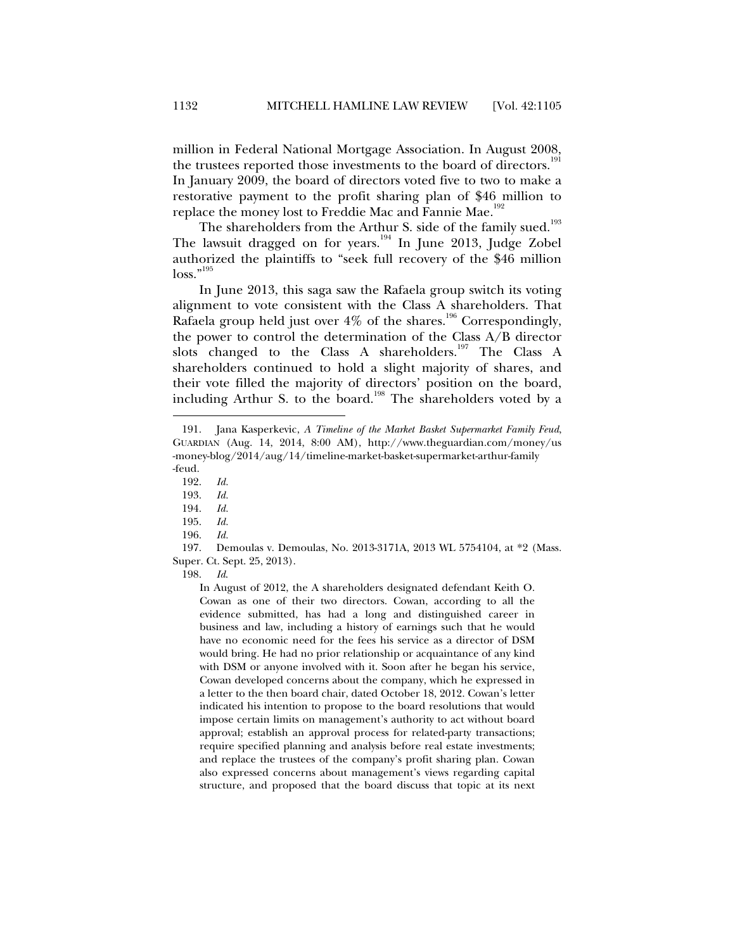million in Federal National Mortgage Association. In August 2008, the trustees reported those investments to the board of directors.<sup>1</sup> In January 2009, the board of directors voted five to two to make a restorative payment to the profit sharing plan of \$46 million to replace the money lost to Freddie Mac and Fannie Mae.<sup>192</sup>

The shareholders from the Arthur S. side of the family sued.<sup>193</sup> The lawsuit dragged on for years.<sup>194</sup> In June 2013, Judge Zobel authorized the plaintiffs to "seek full recovery of the \$46 million loss."<sup>195</sup>

In June 2013, this saga saw the Rafaela group switch its voting alignment to vote consistent with the Class A shareholders. That Rafaela group held just over  $4\%$  of the shares.<sup>196</sup> Correspondingly, the power to control the determination of the Class A/B director slots changed to the Class A shareholders.<sup>197</sup> The Class A shareholders continued to hold a slight majority of shares, and their vote filled the majority of directors' position on the board, including Arthur S. to the board.<sup>198</sup> The shareholders voted by a

j

196. *Id.*

 197. Demoulas v. Demoulas, No. 2013-3171A, 2013 WL 5754104, at \*2 (Mass. Super. Ct. Sept. 25, 2013).

198. *Id*.

In August of 2012, the A shareholders designated defendant Keith O. Cowan as one of their two directors. Cowan, according to all the evidence submitted, has had a long and distinguished career in business and law, including a history of earnings such that he would have no economic need for the fees his service as a director of DSM would bring. He had no prior relationship or acquaintance of any kind with DSM or anyone involved with it. Soon after he began his service, Cowan developed concerns about the company, which he expressed in a letter to the then board chair, dated October 18, 2012. Cowan's letter indicated his intention to propose to the board resolutions that would impose certain limits on management's authority to act without board approval; establish an approval process for related-party transactions; require specified planning and analysis before real estate investments; and replace the trustees of the company's profit sharing plan. Cowan also expressed concerns about management's views regarding capital structure, and proposed that the board discuss that topic at its next

 <sup>191.</sup> Jana Kasperkevic, *A Timeline of the Market Basket Supermarket Family Feud*, GUARDIAN (Aug. 14, 2014, 8:00 AM), http://www.theguardian.com/money/us -money-blog/2014/aug/14/timeline-market-basket-supermarket-arthur-family -feud.

 <sup>192.</sup> *Id.*

 <sup>193.</sup> *Id.*

 <sup>194.</sup> *Id.*

 <sup>195.</sup> *Id.*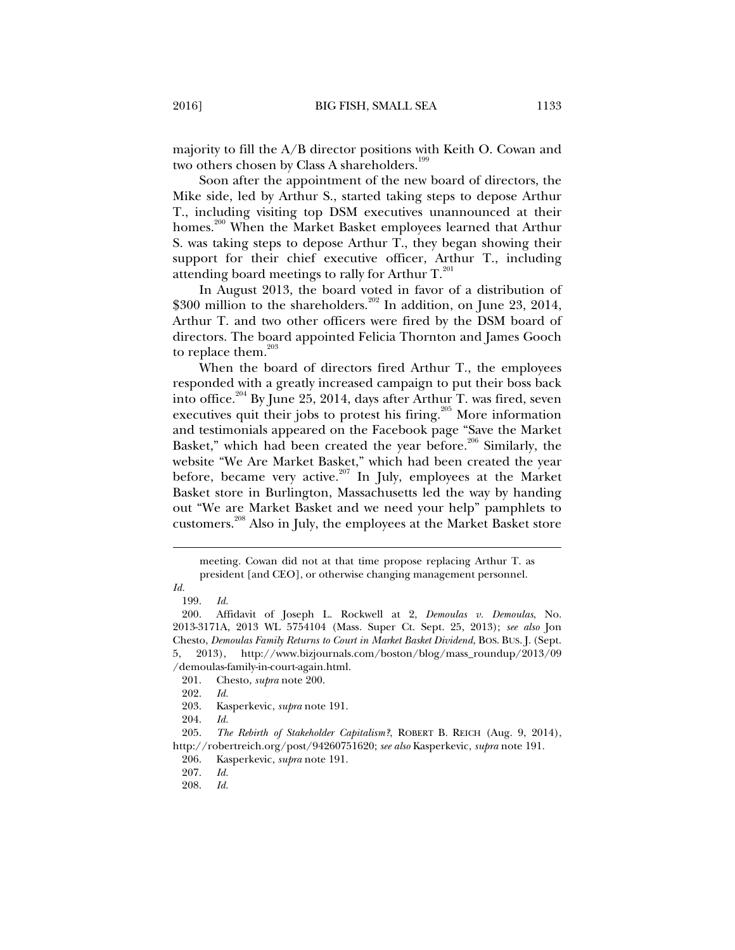majority to fill the A/B director positions with Keith O. Cowan and two others chosen by Class A shareholders.<sup>199</sup>

Soon after the appointment of the new board of directors, the Mike side, led by Arthur S., started taking steps to depose Arthur T., including visiting top DSM executives unannounced at their homes.<sup>200</sup> When the Market Basket employees learned that Arthur S. was taking steps to depose Arthur T., they began showing their support for their chief executive officer, Arthur T., including attending board meetings to rally for Arthur  $T.^{^{201}}$ .

In August 2013, the board voted in favor of a distribution of \$300 million to the shareholders.<sup>202</sup> In addition, on June 23, 2014, Arthur T. and two other officers were fired by the DSM board of directors. The board appointed Felicia Thornton and James Gooch to replace them. $203$ 

When the board of directors fired Arthur T., the employees responded with a greatly increased campaign to put their boss back into office.<sup>204</sup> By June 25, 2014, days after Arthur T. was fired, seven executives quit their jobs to protest his firing.<sup>205</sup> More information and testimonials appeared on the Facebook page "Save the Market Basket," which had been created the year before.<sup>206</sup> Similarly, the website "We Are Market Basket," which had been created the year before, became very active.<sup>207</sup> In July, employees at the Market Basket store in Burlington, Massachusetts led the way by handing out "We are Market Basket and we need your help" pamphlets to customers.208 Also in July, the employees at the Market Basket store

meeting. Cowan did not at that time propose replacing Arthur T. as president [and CEO], or otherwise changing management personnel.

*Id.*

 <sup>199.</sup> *Id.*

 <sup>200.</sup> Affidavit of Joseph L. Rockwell at 2, *Demoulas v. Demoulas*, No. 2013-3171A, 2013 WL 5754104 (Mass. Super Ct. Sept. 25, 2013); *see also* Jon Chesto, *Demoulas Family Returns to Court in Market Basket Dividend*, BOS. BUS. J. (Sept. 5, 2013), http://www.bizjournals.com/boston/blog/mass\_roundup/2013/09 /demoulas-family-in-court-again.html.

 <sup>201.</sup> Chesto, *supra* note 200.

 <sup>202.</sup> *Id.*

 <sup>203.</sup> Kasperkevic, *supra* note 191.

 <sup>204.</sup> *Id.*

 <sup>205.</sup> *The Rebirth of Stakeholder Capitalism?*, ROBERT B. REICH (Aug. 9, 2014), http://robertreich.org/post/94260751620; *see also* Kasperkevic, *supra* note 191.

 <sup>206.</sup> Kasperkevic, *supra* note 191.

 <sup>207.</sup> *Id.*

 <sup>208.</sup> *Id.*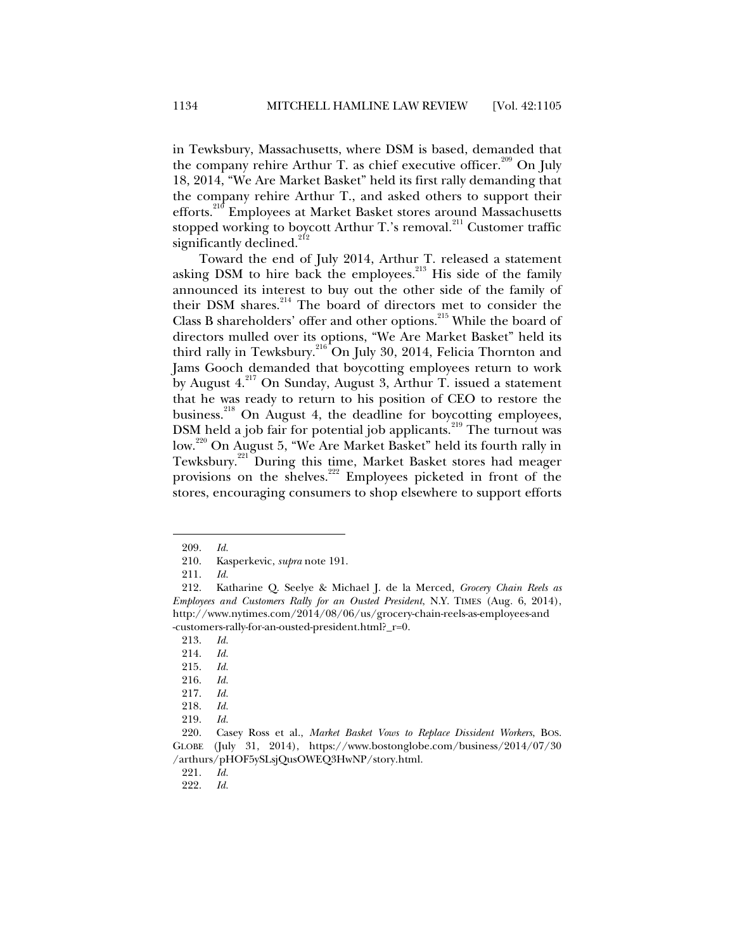in Tewksbury, Massachusetts, where DSM is based, demanded that the company rehire Arthur T. as chief executive officer.<sup>209</sup> On July 18, 2014, "We Are Market Basket" held its first rally demanding that the company rehire Arthur T., and asked others to support their efforts.<sup>210</sup> Employees at Market Basket stores around Massachusetts stopped working to boycott Arthur T.'s removal.<sup>211</sup> Customer traffic significantly declined.<sup>212</sup>

Toward the end of July 2014, Arthur T. released a statement asking DSM to hire back the employees.<sup>213</sup> His side of the family announced its interest to buy out the other side of the family of their DSM shares.214 The board of directors met to consider the Class B shareholders' offer and other options.<sup>215</sup> While the board of directors mulled over its options, "We Are Market Basket" held its third rally in Tewksbury.<sup>216</sup> On July 30, 2014, Felicia Thornton and Jams Gooch demanded that boycotting employees return to work by August  $4.^{217}$  On Sunday, August 3, Arthur T. issued a statement that he was ready to return to his position of CEO to restore the business.<sup>218</sup> On August 4, the deadline for boycotting employees, DSM held a job fair for potential job applicants.<sup>219</sup> The turnout was low.220 On August 5, "We Are Market Basket" held its fourth rally in Tewksbury.<sup>221</sup> During this time, Market Basket stores had meager provisions on the shelves.<sup>222</sup> Employees picketed in front of the stores, encouraging consumers to shop elsewhere to support efforts

j

221. *Id.*

 <sup>209.</sup> *Id.*

 <sup>210.</sup> Kasperkevic, *supra* note 191.

 <sup>211.</sup> *Id.*

 <sup>212.</sup> Katharine Q. Seelye & Michael J. de la Merced, *Grocery Chain Reels as Employees and Customers Rally for an Ousted President*, N.Y. TIMES (Aug. 6, 2014), http://www.nytimes.com/2014/08/06/us/grocery-chain-reels-as-employees-and -customers-rally-for-an-ousted-president.html?\_r=0.

 <sup>213.</sup> *Id.*

 <sup>214.</sup> *Id.*

 <sup>215.</sup> *Id.*

 <sup>216.</sup> *Id.*

 <sup>217.</sup> *Id.*

 <sup>218.</sup> *Id.*

 <sup>219.</sup> *Id.*

 <sup>220.</sup> Casey Ross et al., *Market Basket Vows to Replace Dissident Workers*, BOS. GLOBE (July 31, 2014), https://www.bostonglobe.com/business/2014/07/30 /arthurs/pHOF5ySLsjQusOWEQ3HwNP/story.html.

 <sup>222.</sup> *Id.*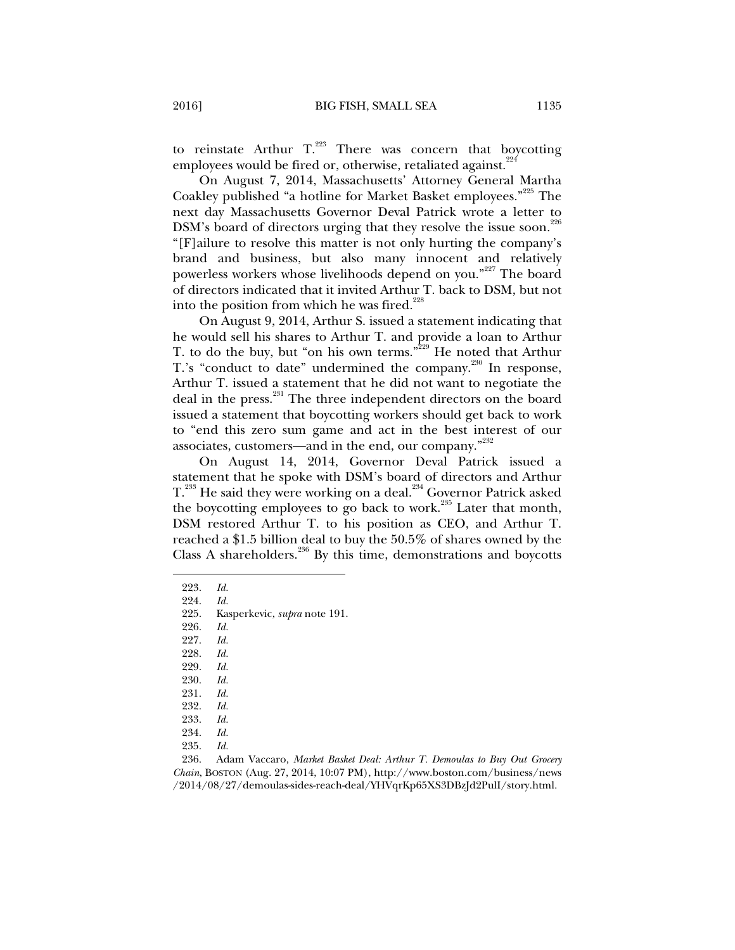to reinstate Arthur  $T^{223}$ . There was concern that boycotting employees would be fired or, otherwise, retaliated against. $224$ 

On August 7, 2014, Massachusetts' Attorney General Martha Coakley published "a hotline for Market Basket employees."<sup>225</sup> The next day Massachusetts Governor Deval Patrick wrote a letter to DSM's board of directors urging that they resolve the issue soon.<sup>226</sup> "[F]ailure to resolve this matter is not only hurting the company's brand and business, but also many innocent and relatively powerless workers whose livelihoods depend on you."<sup>227</sup> The board of directors indicated that it invited Arthur T. back to DSM, but not into the position from which he was fired.<sup>228</sup>

On August 9, 2014, Arthur S. issued a statement indicating that he would sell his shares to Arthur T. and provide a loan to Arthur T. to do the buy, but "on his own terms."<sup>229</sup> He noted that Arthur T.'s "conduct to date" undermined the company.<sup>230</sup> In response, Arthur T. issued a statement that he did not want to negotiate the deal in the press.<sup>231</sup> The three independent directors on the board issued a statement that boycotting workers should get back to work to "end this zero sum game and act in the best interest of our associates, customers—and in the end, our company."<sup>232</sup>

On August 14, 2014, Governor Deval Patrick issued a statement that he spoke with DSM's board of directors and Arthur T.<sup>233</sup> He said they were working on a deal.<sup>234</sup> Governor Patrick asked the boycotting employees to go back to work.<sup>235</sup> Later that month, DSM restored Arthur T. to his position as CEO, and Arthur T. reached a \$1.5 billion deal to buy the 50.5% of shares owned by the Class A shareholders. $236$  By this time, demonstrations and boycotts

j

227. *Id.*

- 228. *Id.*
- 229. *Id.*
- 230. *Id.*
- 231. *Id.*
- 232. *Id.*
- 233. *Id.*
- 234. *Id.*
- 235. *Id.*
- 

 <sup>223.</sup> *Id.*

 <sup>224.</sup> *Id.*

 <sup>225.</sup> Kasperkevic, *supra* note 191.

 <sup>226.</sup> *Id.*

 <sup>236.</sup> Adam Vaccaro, *Market Basket Deal: Arthur T. Demoulas to Buy Out Grocery Chain*, BOSTON (Aug. 27, 2014, 10:07 PM), http://www.boston.com/business/news /2014/08/27/demoulas-sides-reach-deal/YHVqrKp65XS3DBzJd2PulI/story.html.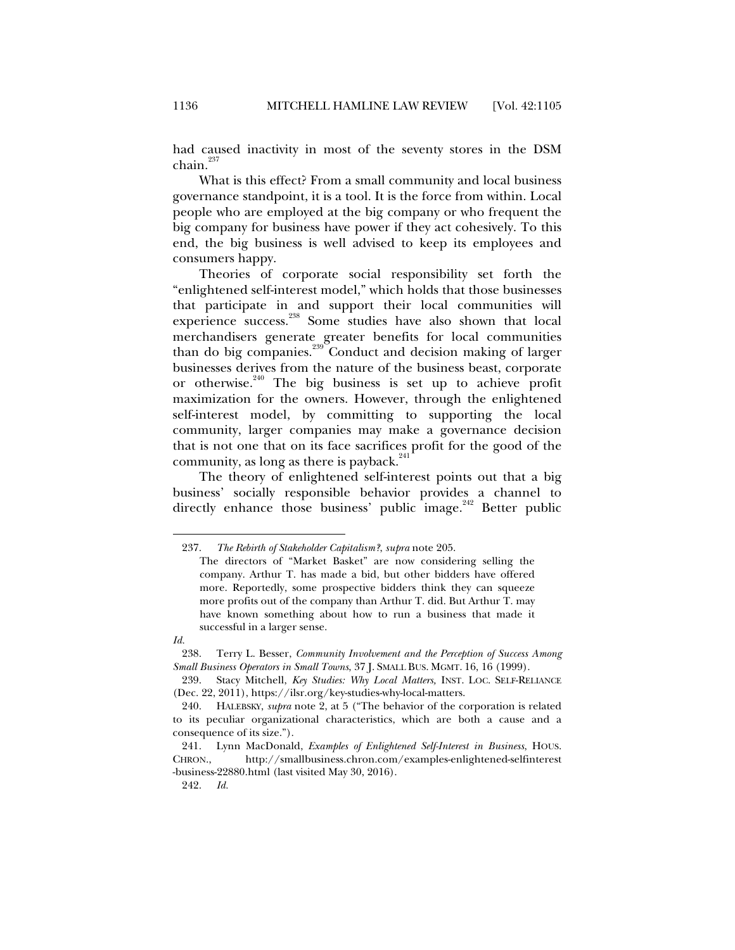had caused inactivity in most of the seventy stores in the DSM  $chain.<sup>237</sup>$ 

What is this effect? From a small community and local business governance standpoint, it is a tool. It is the force from within. Local people who are employed at the big company or who frequent the big company for business have power if they act cohesively. To this end, the big business is well advised to keep its employees and consumers happy.

Theories of corporate social responsibility set forth the "enlightened self-interest model," which holds that those businesses that participate in and support their local communities will experience success.<sup>238</sup> Some studies have also shown that local merchandisers generate greater benefits for local communities than do big companies.239 Conduct and decision making of larger businesses derives from the nature of the business beast, corporate or otherwise.<sup>240</sup> The big business is set up to achieve profit maximization for the owners. However, through the enlightened self-interest model, by committing to supporting the local community, larger companies may make a governance decision that is not one that on its face sacrifices profit for the good of the community, as long as there is payback. $^{241}$ 

The theory of enlightened self-interest points out that a big business' socially responsible behavior provides a channel to directly enhance those business' public image.<sup>242</sup> Better public

j

242. *Id.*

 <sup>237.</sup> *The Rebirth of Stakeholder Capitalism?*, *supra* note 205.

The directors of "Market Basket" are now considering selling the company. Arthur T. has made a bid, but other bidders have offered more. Reportedly, some prospective bidders think they can squeeze more profits out of the company than Arthur T. did. But Arthur T. may have known something about how to run a business that made it successful in a larger sense.

*Id.*

 <sup>238.</sup> Terry L. Besser, *Community Involvement and the Perception of Success Among Small Business Operators in Small Towns*, 37 J. SMALL BUS. MGMT. 16, 16 (1999).

 <sup>239.</sup> Stacy Mitchell, *Key Studies: Why Local Matters,* INST. LOC. SELF-RELIANCE (Dec. 22, 2011), https://ilsr.org/key-studies-why-local-matters.

 <sup>240.</sup> HALEBSKY, *supra* note 2, at 5 ("The behavior of the corporation is related to its peculiar organizational characteristics, which are both a cause and a consequence of its size.").

 <sup>241.</sup> Lynn MacDonald, *Examples of Enlightened Self-Interest in Business*, HOUS. CHRON., http://smallbusiness.chron.com/examples-enlightened-selfinterest -business-22880.html (last visited May 30, 2016).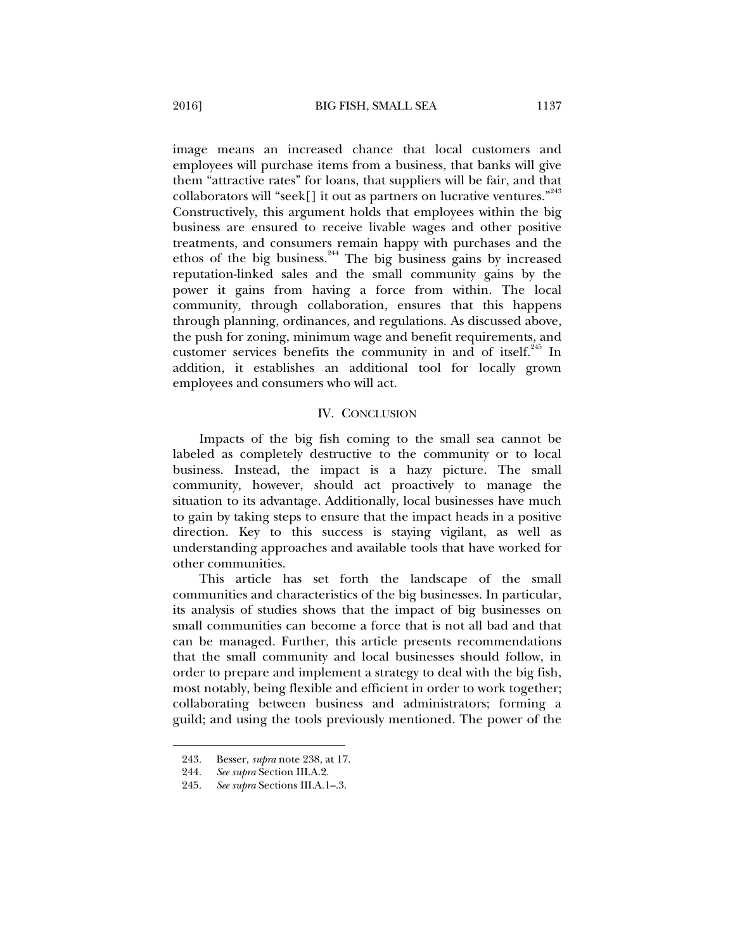image means an increased chance that local customers and employees will purchase items from a business, that banks will give them "attractive rates" for loans, that suppliers will be fair, and that collaborators will "seek[] it out as partners on lucrative ventures."  $243$ Constructively, this argument holds that employees within the big business are ensured to receive livable wages and other positive treatments, and consumers remain happy with purchases and the ethos of the big business.<sup>244</sup> The big business gains by increased reputation-linked sales and the small community gains by the power it gains from having a force from within. The local community, through collaboration, ensures that this happens through planning, ordinances, and regulations. As discussed above, the push for zoning, minimum wage and benefit requirements, and customer services benefits the community in and of itself.<sup>245</sup> In addition, it establishes an additional tool for locally grown employees and consumers who will act.

### IV. CONCLUSION

Impacts of the big fish coming to the small sea cannot be labeled as completely destructive to the community or to local business. Instead, the impact is a hazy picture. The small community, however, should act proactively to manage the situation to its advantage. Additionally, local businesses have much to gain by taking steps to ensure that the impact heads in a positive direction. Key to this success is staying vigilant, as well as understanding approaches and available tools that have worked for other communities.

This article has set forth the landscape of the small communities and characteristics of the big businesses. In particular, its analysis of studies shows that the impact of big businesses on small communities can become a force that is not all bad and that can be managed. Further, this article presents recommendations that the small community and local businesses should follow, in order to prepare and implement a strategy to deal with the big fish, most notably, being flexible and efficient in order to work together; collaborating between business and administrators; forming a guild; and using the tools previously mentioned. The power of the

 <sup>243.</sup> Besser, *supra* note 238, at 17.

 <sup>244.</sup> *See supra* Section III.A.2.

 <sup>245.</sup> *See supra* Sections III.A.1–.3.